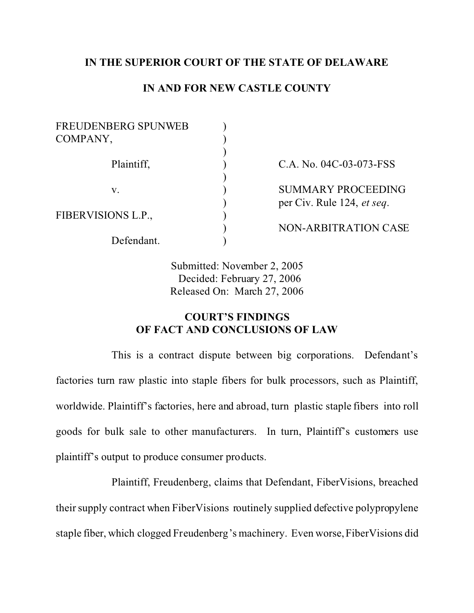## **IN THE SUPERIOR COURT OF THE STATE OF DELAWARE**

## **IN AND FOR NEW CASTLE COUNTY**

| C.A. No. 04C-03-073-FSS    |
|----------------------------|
| <b>SUMMARY PROCEEDING</b>  |
| per Civ. Rule 124, et seq. |
| NON-ARBITRATION CASE       |
|                            |

Submitted: November 2, 2005 Decided: February 27, 2006 Released On: March 27, 2006

# **COURT'S FINDINGS OF FACT AND CONCLUSIONS OF LAW**

This is a contract dispute between big corporations. Defendant's factories turn raw plastic into staple fibers for bulk processors, such as Plaintiff, worldwide. Plaintiff's factories, here and abroad, turn plastic staple fibers into roll goods for bulk sale to other manufacturers. In turn, Plaintiff's customers use plaintiff's output to produce consumer products.

Plaintiff, Freudenberg, claims that Defendant, FiberVisions, breached their supply contract when FiberVisions routinely supplied defective polypropylene staple fiber, which clogged Freudenberg's machinery. Even worse, FiberVisions did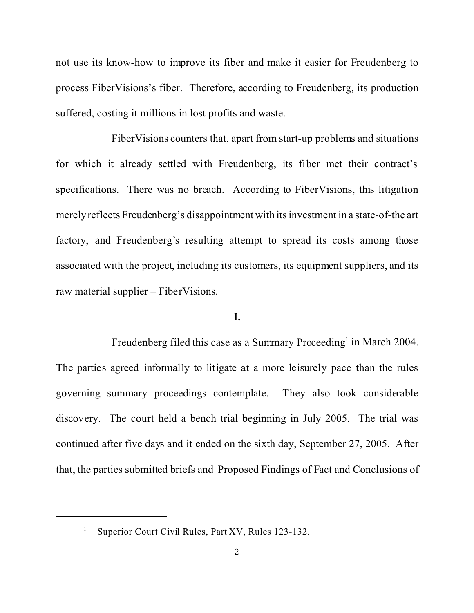not use its know-how to improve its fiber and make it easier for Freudenberg to process FiberVisions's fiber. Therefore, according to Freudenberg, its production suffered, costing it millions in lost profits and waste.

FiberVisions counters that, apart from start-up problems and situations for which it already settled with Freudenberg, its fiber met their contract's specifications. There was no breach. According to FiberVisions, this litigation merely reflects Freudenberg's disappointment with its investment in a state-of-the art factory, and Freudenberg's resulting attempt to spread its costs among those associated with the project, including its customers, its equipment suppliers, and its raw material supplier – FiberVisions.

## **I.**

Freudenberg filed this case as a Summary Proceeding<sup>1</sup> in March 2004. The parties agreed informally to litigate at a more leisurely pace than the rules governing summary proceedings contemplate. They also took considerable discovery. The court held a bench trial beginning in July 2005. The trial was continued after five days and it ended on the sixth day, September 27, 2005. After that, the parties submitted briefs and Proposed Findings of Fact and Conclusions of

<sup>1</sup> Superior Court Civil Rules, Part XV, Rules 123-132.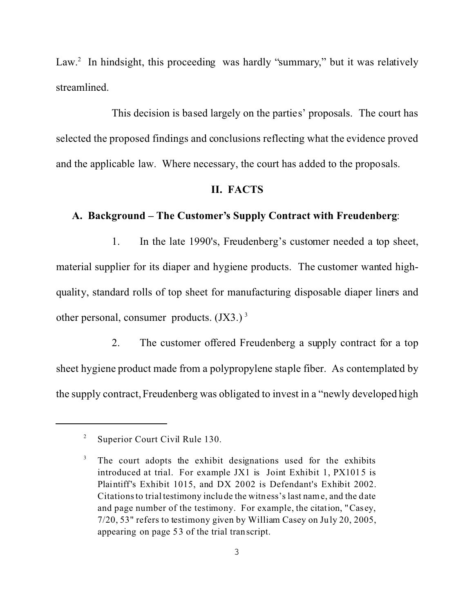Law.<sup>2</sup> In hindsight, this proceeding was hardly "summary," but it was relatively streamlined.

This decision is based largely on the parties' proposals. The court has selected the proposed findings and conclusions reflecting what the evidence proved and the applicable law. Where necessary, the court has added to the proposals.

### **II. FACTS**

### **A. Background – The Customer's Supply Contract with Freudenberg**:

1. In the late 1990's, Freudenberg's customer needed a top sheet, material supplier for its diaper and hygiene products. The customer wanted highquality, standard rolls of top sheet for manufacturing disposable diaper liners and other personal, consumer products.  $(JX3.)^3$ 

2. The customer offered Freudenberg a supply contract for a top sheet hygiene product made from a polypropylene staple fiber. As contemplated by the supply contract, Freudenberg was obligated to invest in a "newly developed high

<sup>&</sup>lt;sup>2</sup> Superior Court Civil Rule 130.

<sup>&</sup>lt;sup>3</sup> The court adopts the exhibit designations used for the exhibits introduced at trial. For example JX1 is Joint Exhibit 1, PX1015 is Plaintiff's Exhibit 1015, and DX 2002 is Defendant's Exhibit 2002. Citations to trial testimony include the witness's last name, and the date and page number of the testimony. For example, the citation, "Casey, 7/20, 53" refers to testimony given by William Casey on July 20, 2005, appearing on page 53 of the trial transcript.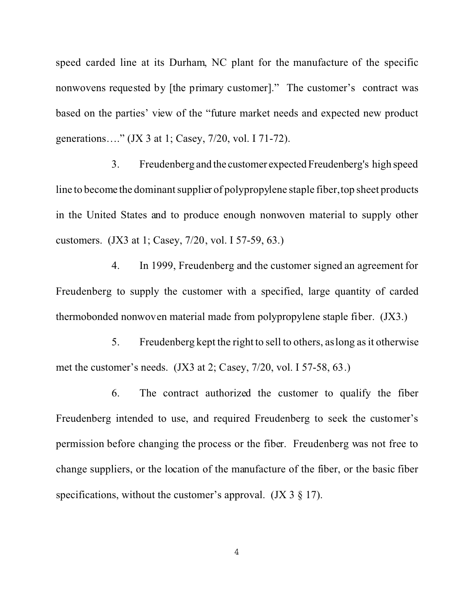speed carded line at its Durham, NC plant for the manufacture of the specific nonwovens requested by [the primary customer]." The customer's contract was based on the parties' view of the "future market needs and expected new product generations…." (JX 3 at 1; Casey, 7/20, vol. I 71-72).

3. Freudenberg and the customer expected Freudenberg's high speed line to become the dominant supplier of polypropylene staple fiber, top sheet products in the United States and to produce enough nonwoven material to supply other customers. (JX3 at 1; Casey, 7/20, vol. I 57-59, 63.)

4. In 1999, Freudenberg and the customer signed an agreement for Freudenberg to supply the customer with a specified, large quantity of carded thermobonded nonwoven material made from polypropylene staple fiber. (JX3.)

5. Freudenberg kept the right to sell to others, as long as it otherwise met the customer's needs. (JX3 at 2; Casey, 7/20, vol. I 57-58, 63.)

6. The contract authorized the customer to qualify the fiber Freudenberg intended to use, and required Freudenberg to seek the customer's permission before changing the process or the fiber. Freudenberg was not free to change suppliers, or the location of the manufacture of the fiber, or the basic fiber specifications, without the customer's approval.  $($ JX 3  $§$  17 $)$ .

4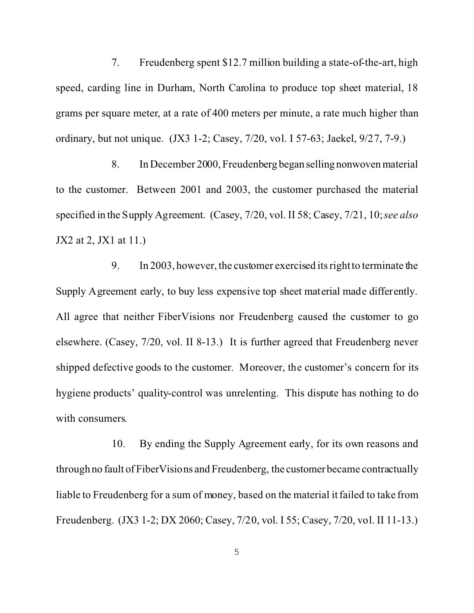7. Freudenberg spent \$12.7 million building a state-of-the-art, high speed, carding line in Durham, North Carolina to produce top sheet material, 18 grams per square meter, at a rate of 400 meters per minute, a rate much higher than ordinary, but not unique. (JX3 1-2; Casey, 7/20, vol. I 57-63; Jaekel, 9/27, 7-9.)

8. In December 2000, Freudenberg began selling nonwoven material to the customer. Between 2001 and 2003, the customer purchased the material specified in the Supply Agreement. (Casey, 7/20, vol. II 58; Casey, 7/21, 10;*see also* JX2 at 2, JX1 at 11.)

9. In 2003, however, the customer exercised its right to terminate the Supply Agreement early, to buy less expensive top sheet material made differently. All agree that neither FiberVisions nor Freudenberg caused the customer to go elsewhere. (Casey, 7/20, vol. II 8-13.) It is further agreed that Freudenberg never shipped defective goods to the customer. Moreover, the customer's concern for its hygiene products' quality-control was unrelenting. This dispute has nothing to do with consumers.

10. By ending the Supply Agreement early, for its own reasons and through no fault of FiberVisions and Freudenberg, the customerbecame contractually liable to Freudenberg for a sum of money, based on the material it failed to take from Freudenberg. (JX3 1-2; DX 2060; Casey, 7/20, vol. I 55; Casey, 7/20, vol. II 11-13.)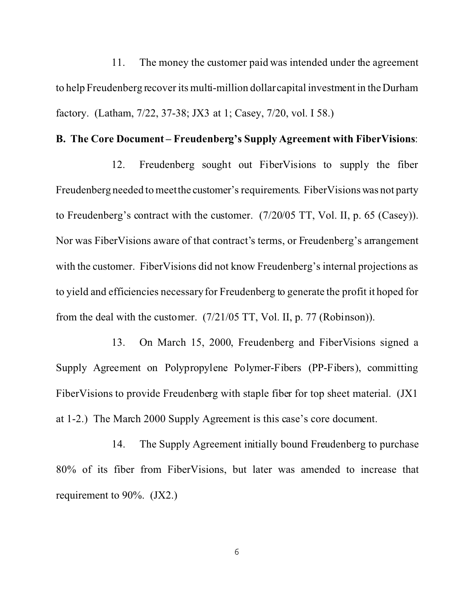11. The money the customer paid was intended under the agreement to help Freudenberg recover its multi-million dollar capital investment in the Durham factory. (Latham, 7/22, 37-38; JX3 at 1; Casey, 7/20, vol. I 58.)

#### **B. The Core Document – Freudenberg's Supply Agreement with FiberVisions**:

12. Freudenberg sought out FiberVisions to supply the fiber Freudenberg needed to meet the customer's requirements. FiberVisions was not party to Freudenberg's contract with the customer. (7/20/05 TT, Vol. II, p. 65 (Casey)). Nor was FiberVisions aware of that contract's terms, or Freudenberg's arrangement with the customer. FiberVisions did not know Freudenberg's internal projections as to yield and efficiencies necessary for Freudenberg to generate the profit it hoped for from the deal with the customer. (7/21/05 TT, Vol. II, p. 77 (Robinson)).

13. On March 15, 2000, Freudenberg and FiberVisions signed a Supply Agreement on Polypropylene Polymer-Fibers (PP-Fibers), committing FiberVisions to provide Freudenberg with staple fiber for top sheet material. (JX1 at 1-2.) The March 2000 Supply Agreement is this case's core document.

14. The Supply Agreement initially bound Freudenberg to purchase 80% of its fiber from FiberVisions, but later was amended to increase that requirement to 90%. (JX2.)

6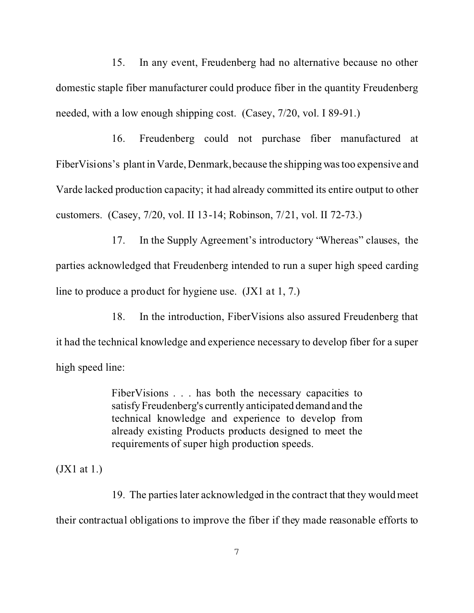15. In any event, Freudenberg had no alternative because no other domestic staple fiber manufacturer could produce fiber in the quantity Freudenberg needed, with a low enough shipping cost. (Casey, 7/20, vol. I 89-91.)

16. Freudenberg could not purchase fiber manufactured at FiberVisions's plant in Varde, Denmark, because the shipping was too expensive and Varde lacked production capacity; it had already committed its entire output to other customers. (Casey, 7/20, vol. II 13-14; Robinson, 7/21, vol. II 72-73.)

17. In the Supply Agreement's introductory "Whereas" clauses, the parties acknowledged that Freudenberg intended to run a super high speed carding line to produce a product for hygiene use. (JX1 at 1, 7.)

18. In the introduction, FiberVisions also assured Freudenberg that it had the technical knowledge and experience necessary to develop fiber for a super high speed line:

> FiberVisions . . . has both the necessary capacities to satisfy Freudenberg's currently anticipated demand and the technical knowledge and experience to develop from already existing Products products designed to meet the requirements of super high production speeds.

(JX1 at 1.)

19. The parties later acknowledged in the contract that they would meet their contractual obligations to improve the fiber if they made reasonable efforts to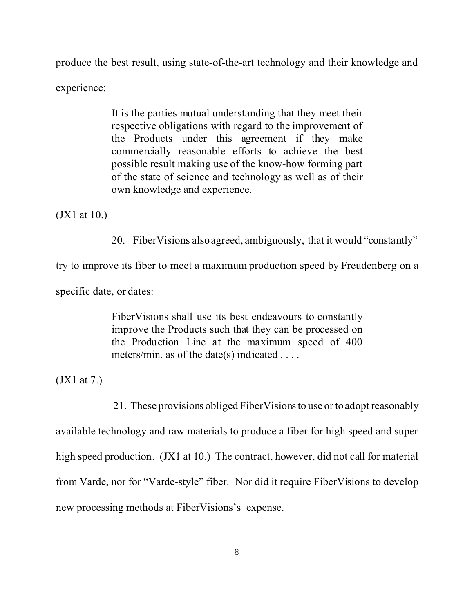produce the best result, using state-of-the-art technology and their knowledge and

experience:

It is the parties mutual understanding that they meet their respective obligations with regard to the improvement of the Products under this agreement if they make commercially reasonable efforts to achieve the best possible result making use of the know-how forming part of the state of science and technology as well as of their own knowledge and experience.

(JX1 at 10.)

20. FiberVisions also agreed, ambiguously, that it would "constantly"

try to improve its fiber to meet a maximum production speed by Freudenberg on a

specific date, or dates:

FiberVisions shall use its best endeavours to constantly improve the Products such that they can be processed on the Production Line at the maximum speed of 400 meters/min. as of the date(s) indicated . . . .

(JX1 at 7.)

 21. These provisions obliged FiberVisions to use or to adopt reasonably available technology and raw materials to produce a fiber for high speed and super high speed production. (JX1 at 10.) The contract, however, did not call for material from Varde, nor for "Varde-style" fiber. Nor did it require FiberVisions to develop new processing methods at FiberVisions's expense.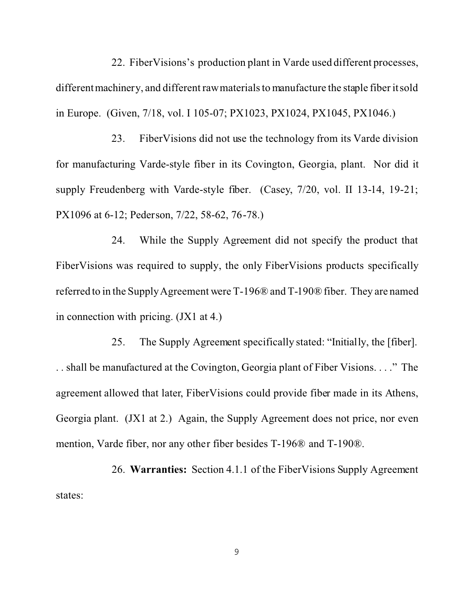22. FiberVisions's production plant in Varde used different processes, different machinery, and different raw materials to manufacture the staple fiber it sold in Europe. (Given, 7/18, vol. I 105-07; PX1023, PX1024, PX1045, PX1046.)

23. FiberVisions did not use the technology from its Varde division for manufacturing Varde-style fiber in its Covington, Georgia, plant. Nor did it supply Freudenberg with Varde-style fiber. (Casey, 7/20, vol. II 13-14, 19-21; PX1096 at 6-12; Pederson, 7/22, 58-62, 76-78.)

24. While the Supply Agreement did not specify the product that FiberVisions was required to supply, the only FiberVisions products specifically referred to in the Supply Agreement were T-196® and T-190® fiber. They are named in connection with pricing. (JX1 at 4.)

25. The Supply Agreement specifically stated: "Initially, the [fiber]. . . shall be manufactured at the Covington, Georgia plant of Fiber Visions. . . ." The agreement allowed that later, FiberVisions could provide fiber made in its Athens, Georgia plant. (JX1 at 2.) Again, the Supply Agreement does not price, nor even mention, Varde fiber, nor any other fiber besides T-196® and T-190®.

26. **Warranties:** Section 4.1.1 of the FiberVisions Supply Agreement states: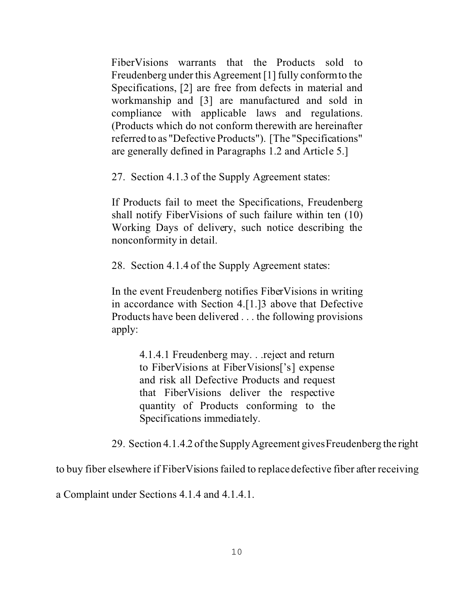FiberVisions warrants that the Products sold to Freudenberg under this Agreement [1] fully conform to the Specifications, [2] are free from defects in material and workmanship and [3] are manufactured and sold in compliance with applicable laws and regulations. (Products which do not conform therewith are hereinafter referred to as "Defective Products"). [The "Specifications" are generally defined in Paragraphs 1.2 and Article 5.]

27. Section 4.1.3 of the Supply Agreement states:

If Products fail to meet the Specifications, Freudenberg shall notify FiberVisions of such failure within ten (10) Working Days of delivery, such notice describing the nonconformity in detail.

28. Section 4.1.4 of the Supply Agreement states:

In the event Freudenberg notifies FiberVisions in writing in accordance with Section 4.[1.]3 above that Defective Products have been delivered . . . the following provisions apply:

> 4.1.4.1 Freudenberg may. . .reject and return to FiberVisions at FiberVisions['s] expense and risk all Defective Products and request that FiberVisions deliver the respective quantity of Products conforming to the Specifications immediately.

29. Section 4.1.4.2 oftheSupplyAgreement gives Freudenberg the right

to buy fiber elsewhere if FiberVisions failed to replace defective fiber after receiving

a Complaint under Sections 4.1.4 and 4.1.4.1.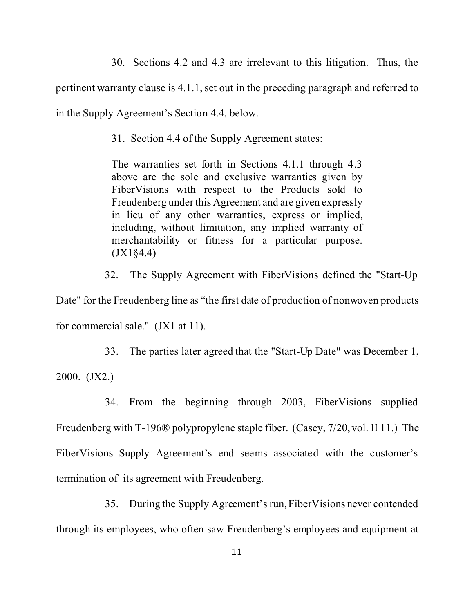30. Sections 4.2 and 4.3 are irrelevant to this litigation. Thus, the

pertinent warranty clause is 4.1.1, set out in the preceding paragraph and referred to

in the Supply Agreement's Section 4.4, below.

31. Section 4.4 of the Supply Agreement states:

The warranties set forth in Sections 4.1.1 through 4.3 above are the sole and exclusive warranties given by FiberVisions with respect to the Products sold to Freudenberg under this Agreement and are given expressly in lieu of any other warranties, express or implied, including, without limitation, any implied warranty of merchantability or fitness for a particular purpose. (JX1§4.4)

32. The Supply Agreement with FiberVisions defined the "Start-Up

Date" for the Freudenberg line as "the first date of production of nonwoven products for commercial sale." (JX1 at 11).

33. The parties later agreed that the "Start-Up Date" was December 1,

2000. (JX2.)

34. From the beginning through 2003, FiberVisions supplied Freudenberg with T-196® polypropylene staple fiber. (Casey, 7/20, vol. II 11.) The FiberVisions Supply Agreement's end seems associated with the customer's termination of its agreement with Freudenberg.

35. During the Supply Agreement's run, FiberVisions never contended through its employees, who often saw Freudenberg's employees and equipment at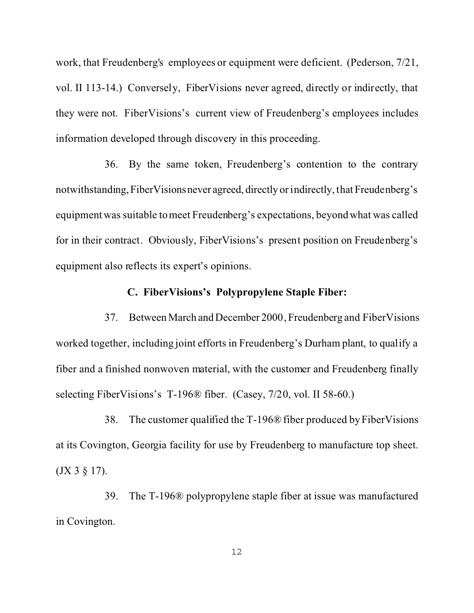work, that Freudenberg's employees or equipment were deficient. (Pederson, 7/21, vol. II 113-14.) Conversely, FiberVisions never agreed, directly or indirectly, that they were not. FiberVisions's current view of Freudenberg's employees includes information developed through discovery in this proceeding.

36. By the same token, Freudenberg's contention to the contrary notwithstanding,FiberVisionsnever agreed, directly or indirectly, that Freudenberg's equipment was suitable to meet Freudenberg's expectations, beyond what was called for in their contract. Obviously, FiberVisions's present position on Freudenberg's equipment also reflects its expert's opinions.

## **C. FiberVisions's Polypropylene Staple Fiber:**

37. Between March and December 2000, Freudenberg and FiberVisions worked together, including joint efforts in Freudenberg's Durham plant, to qualify a fiber and a finished nonwoven material, with the customer and Freudenberg finally selecting FiberVisions's T-196® fiber. (Casey, 7/20, vol. II 58-60.)

38. The customer qualified the T-196® fiber produced by FiberVisions at its Covington, Georgia facility for use by Freudenberg to manufacture top sheet.  $(JX 3 \S 17).$ 

39. The T-196® polypropylene staple fiber at issue was manufactured in Covington.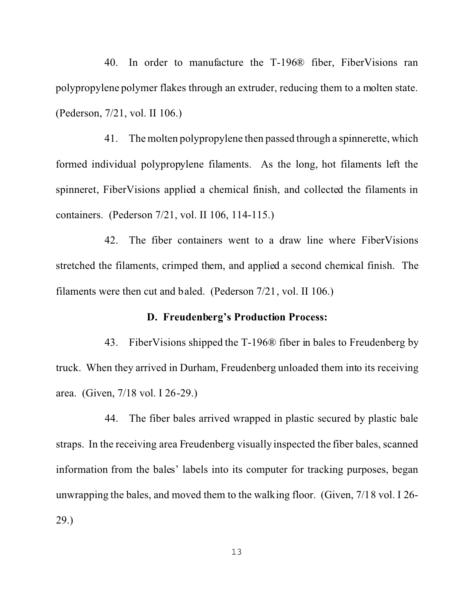40. In order to manufacture the T-196® fiber, FiberVisions ran polypropylene polymer flakes through an extruder, reducing them to a molten state. (Pederson, 7/21, vol. II 106.)

41. The molten polypropylene then passed through a spinnerette, which formed individual polypropylene filaments. As the long, hot filaments left the spinneret, FiberVisions applied a chemical finish, and collected the filaments in containers. (Pederson 7/21, vol. II 106, 114-115.)

42. The fiber containers went to a draw line where FiberVisions stretched the filaments, crimped them, and applied a second chemical finish. The filaments were then cut and baled. (Pederson 7/21, vol. II 106.)

### **D. Freudenberg's Production Process:**

43. FiberVisions shipped the T-196® fiber in bales to Freudenberg by truck. When they arrived in Durham, Freudenberg unloaded them into its receiving area. (Given, 7/18 vol. I 26-29.)

44. The fiber bales arrived wrapped in plastic secured by plastic bale straps. In the receiving area Freudenberg visually inspected the fiber bales, scanned information from the bales' labels into its computer for tracking purposes, began unwrapping the bales, and moved them to the walking floor. (Given, 7/18 vol. I 26- 29.)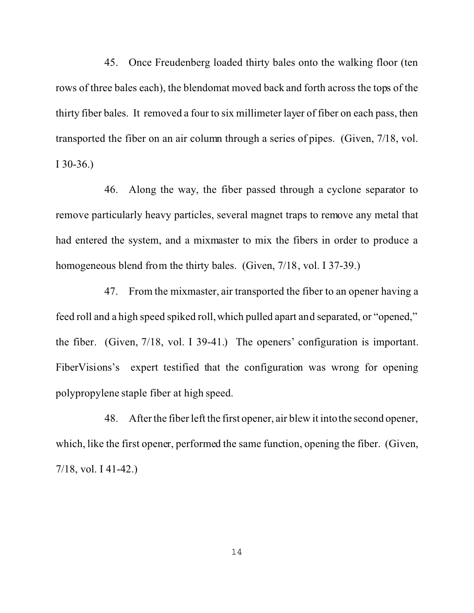45. Once Freudenberg loaded thirty bales onto the walking floor (ten rows of three bales each), the blendomat moved back and forth across the tops of the thirty fiber bales. It removed a four to six millimeter layer of fiber on each pass, then transported the fiber on an air column through a series of pipes. (Given, 7/18, vol. I 30-36.)

46. Along the way, the fiber passed through a cyclone separator to remove particularly heavy particles, several magnet traps to remove any metal that had entered the system, and a mixmaster to mix the fibers in order to produce a homogeneous blend from the thirty bales. (Given, 7/18, vol. I 37-39.)

47. From the mixmaster, air transported the fiber to an opener having a feed roll and a high speed spiked roll, which pulled apart and separated, or "opened," the fiber. (Given, 7/18, vol. I 39-41.) The openers' configuration is important. FiberVisions's expert testified that the configuration was wrong for opening polypropylene staple fiber at high speed.

48. After the fiber left the first opener, air blew it into the second opener, which, like the first opener, performed the same function, opening the fiber. (Given, 7/18, vol. I 41-42.)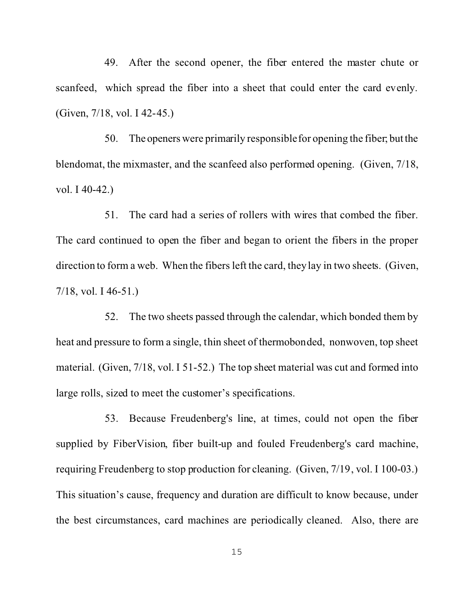49. After the second opener, the fiber entered the master chute or scanfeed, which spread the fiber into a sheet that could enter the card evenly. (Given, 7/18, vol. I 42-45.)

50. The openers were primarily responsible for opening the fiber; butthe blendomat, the mixmaster, and the scanfeed also performed opening. (Given, 7/18, vol. I 40-42.)

51. The card had a series of rollers with wires that combed the fiber. The card continued to open the fiber and began to orient the fibers in the proper direction to form a web. When the fibers left the card, they lay in two sheets. (Given,  $7/18$ , vol. I 46-51.)

52. The two sheets passed through the calendar, which bonded them by heat and pressure to form a single, thin sheet of thermobonded, nonwoven, top sheet material. (Given, 7/18, vol. I 51-52.) The top sheet material was cut and formed into large rolls, sized to meet the customer's specifications.

53. Because Freudenberg's line, at times, could not open the fiber supplied by FiberVision, fiber built-up and fouled Freudenberg's card machine, requiring Freudenberg to stop production for cleaning. (Given, 7/19, vol. I 100-03.) This situation's cause, frequency and duration are difficult to know because, under the best circumstances, card machines are periodically cleaned. Also, there are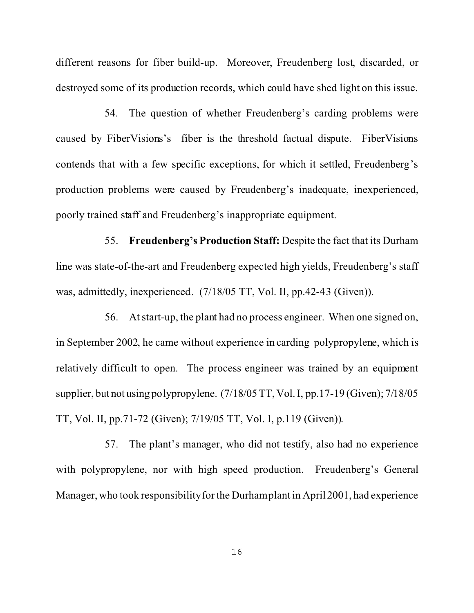different reasons for fiber build-up. Moreover, Freudenberg lost, discarded, or destroyed some of its production records, which could have shed light on this issue.

54. The question of whether Freudenberg's carding problems were caused by FiberVisions's fiber is the threshold factual dispute. FiberVisions contends that with a few specific exceptions, for which it settled, Freudenberg's production problems were caused by Freudenberg's inadequate, inexperienced, poorly trained staff and Freudenberg's inappropriate equipment.

55. **Freudenberg's Production Staff:** Despite the fact that its Durham line was state-of-the-art and Freudenberg expected high yields, Freudenberg's staff was, admittedly, inexperienced. (7/18/05 TT, Vol. II, pp.42-43 (Given)).

56. At start-up, the plant had no process engineer. When one signed on, in September 2002, he came without experience in carding polypropylene, which is relatively difficult to open. The process engineer was trained by an equipment supplier, but not using polypropylene. (7/18/05 TT, Vol. I, pp.17-19 (Given); 7/18/05 TT, Vol. II, pp.71-72 (Given); 7/19/05 TT, Vol. I, p.119 (Given)).

57. The plant's manager, who did not testify, also had no experience with polypropylene, nor with high speed production. Freudenberg's General Manager, who took responsibility for the Durham plant in April 2001, had experience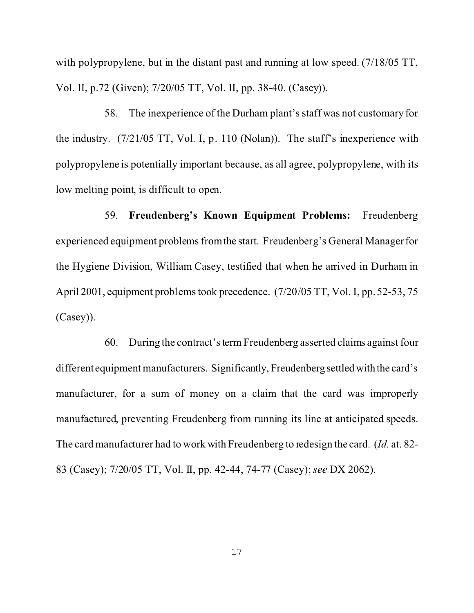with polypropylene, but in the distant past and running at low speed. (7/18/05 TT, Vol. II, p.72 (Given); 7/20/05 TT, Vol. II, pp. 38-40. (Casey)).

58. The inexperience of the Durham plant's staff was not customary for the industry. (7/21/05 TT, Vol. I, p. 110 (Nolan)). The staff's inexperience with polypropylene is potentially important because, as all agree, polypropylene, with its low melting point, is difficult to open.

59. **Freudenberg's Known Equipment Problems:** Freudenberg experienced equipment problems from the start. Freudenberg's General Manager for the Hygiene Division, William Casey, testified that when he arrived in Durham in April 2001, equipment problems took precedence. (7/20/05 TT, Vol. I, pp. 52-53, 75 (Casey)).

60. During the contract's term Freudenberg asserted claims against four different equipment manufacturers. Significantly, Freudenberg settledwith the card's manufacturer, for a sum of money on a claim that the card was improperly manufactured, preventing Freudenberg from running its line at anticipated speeds. The card manufacturer had to work with Freudenberg to redesign the card. (*Id.* at. 82- 83 (Casey); 7/20/05 TT, Vol. II, pp. 42-44, 74-77 (Casey); *see* DX 2062).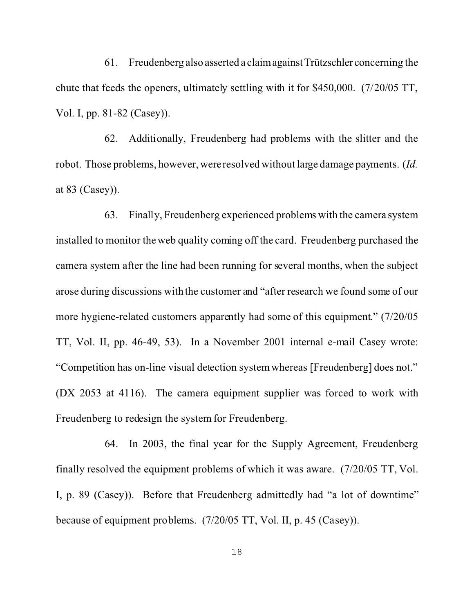61. Freudenberg also asserted a claimagainstTrützschler concerning the chute that feeds the openers, ultimately settling with it for \$450,000. (7/20/05 TT, Vol. I, pp. 81-82 (Casey)).

62. Additionally, Freudenberg had problems with the slitter and the robot. Those problems, however, were resolved without large damage payments. (*Id.* at 83 (Casey)).

63. Finally, Freudenberg experienced problems with the camera system installed to monitor the web quality coming off the card. Freudenberg purchased the camera system after the line had been running for several months, when the subject arose during discussions with the customer and "after research we found some of our more hygiene-related customers apparently had some of this equipment." (7/20/05 TT, Vol. II, pp. 46-49, 53). In a November 2001 internal e-mail Casey wrote: "Competition has on-line visual detection system whereas [Freudenberg] does not." (DX 2053 at 4116). The camera equipment supplier was forced to work with Freudenberg to redesign the system for Freudenberg.

64. In 2003, the final year for the Supply Agreement, Freudenberg finally resolved the equipment problems of which it was aware. (7/20/05 TT, Vol. I, p. 89 (Casey)). Before that Freudenberg admittedly had "a lot of downtime" because of equipment problems. (7/20/05 TT, Vol. II, p. 45 (Casey)).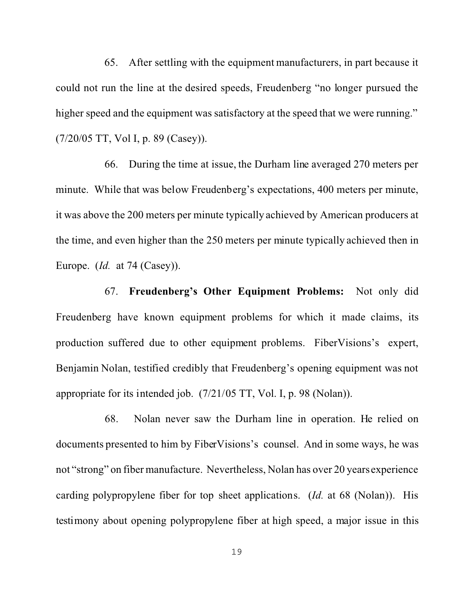65. After settling with the equipment manufacturers, in part because it could not run the line at the desired speeds, Freudenberg "no longer pursued the higher speed and the equipment was satisfactory at the speed that we were running." (7/20/05 TT, Vol I, p. 89 (Casey)).

66. During the time at issue, the Durham line averaged 270 meters per minute. While that was below Freudenberg's expectations, 400 meters per minute, it was above the 200 meters per minute typically achieved by American producers at the time, and even higher than the 250 meters per minute typically achieved then in Europe. (*Id.* at 74 (Casey)).

67. **Freudenberg's Other Equipment Problems:** Not only did Freudenberg have known equipment problems for which it made claims, its production suffered due to other equipment problems. FiberVisions's expert, Benjamin Nolan, testified credibly that Freudenberg's opening equipment was not appropriate for its intended job. (7/21/05 TT, Vol. I, p. 98 (Nolan)).

68. Nolan never saw the Durham line in operation. He relied on documents presented to him by FiberVisions's counsel. And in some ways, he was not "strong" on fiber manufacture. Nevertheless, Nolan has over 20 years experience carding polypropylene fiber for top sheet applications. (*Id.* at 68 (Nolan)). His testimony about opening polypropylene fiber at high speed, a major issue in this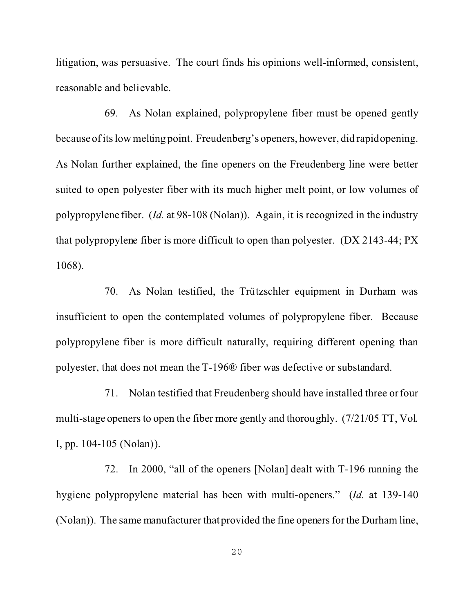litigation, was persuasive. The court finds his opinions well-informed, consistent, reasonable and believable.

69. As Nolan explained, polypropylene fiber must be opened gently because of its low melting point. Freudenberg's openers, however, did rapid opening. As Nolan further explained, the fine openers on the Freudenberg line were better suited to open polyester fiber with its much higher melt point, or low volumes of polypropylene fiber. (*Id.* at 98-108 (Nolan)). Again, it is recognized in the industry that polypropylene fiber is more difficult to open than polyester. (DX 2143-44; PX 1068).

70. As Nolan testified, the Trützschler equipment in Durham was insufficient to open the contemplated volumes of polypropylene fiber. Because polypropylene fiber is more difficult naturally, requiring different opening than polyester, that does not mean the T-196® fiber was defective or substandard.

71. Nolan testified that Freudenberg should have installed three or four multi-stage openers to open the fiber more gently and thoroughly. (7/21/05 TT, Vol. I, pp. 104-105 (Nolan)).

72. In 2000, "all of the openers [Nolan] dealt with T-196 running the hygiene polypropylene material has been with multi-openers." (*Id.* at 139-140 (Nolan)). The same manufacturer that provided the fine openers for the Durham line,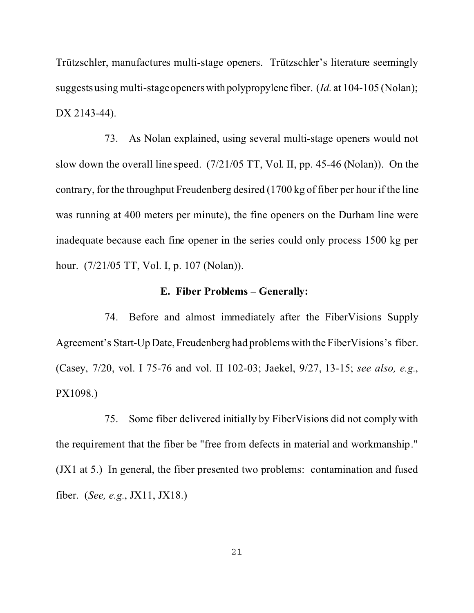Trützschler, manufactures multi-stage openers. Trützschler's literature seemingly suggests using multi-stage openers with polypropylene fiber. (*Id.* at 104-105 (Nolan); DX 2143-44).

73. As Nolan explained, using several multi-stage openers would not slow down the overall line speed. (7/21/05 TT, Vol. II, pp. 45-46 (Nolan)). On the contrary, for the throughput Freudenberg desired (1700 kg of fiber per hour if the line was running at 400 meters per minute), the fine openers on the Durham line were inadequate because each fine opener in the series could only process 1500 kg per hour. (7/21/05 TT, Vol. I, p. 107 (Nolan)).

## **E. Fiber Problems – Generally:**

74. Before and almost immediately after the FiberVisions Supply Agreement's Start-Up Date,Freudenberg had problems with the FiberVisions's fiber. (Casey, 7/20, vol. I 75-76 and vol. II 102-03; Jaekel, 9/27, 13-15; *see also, e.g.*, PX1098.)

75. Some fiber delivered initially by FiberVisions did not comply with the requirement that the fiber be "free from defects in material and workmanship." (JX1 at 5.) In general, the fiber presented two problems: contamination and fused fiber. (*See, e.g.*, JX11, JX18.)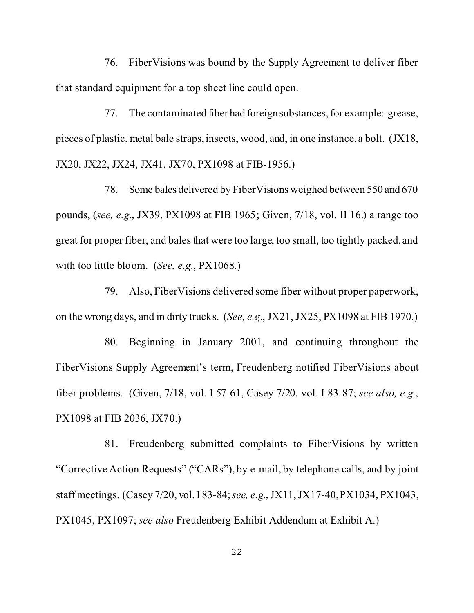76. FiberVisions was bound by the Supply Agreement to deliver fiber that standard equipment for a top sheet line could open.

77. The contaminated fiber had foreignsubstances, for example: grease, pieces of plastic, metal bale straps, insects, wood, and, in one instance, a bolt. (JX18, JX20, JX22, JX24, JX41, JX70, PX1098 at FIB-1956.)

78. Some bales delivered by FiberVisions weighed between 550 and 670 pounds, (*see, e.g.*, JX39, PX1098 at FIB 1965; Given, 7/18, vol. II 16.) a range too great for proper fiber, and bales that were too large, too small, too tightly packed, and with too little bloom. (*See, e.g.*, PX1068.)

79. Also, FiberVisions delivered some fiber without proper paperwork, on the wrong days, and in dirty trucks. (*See, e.g.*, JX21, JX25, PX1098 at FIB 1970.)

80. Beginning in January 2001, and continuing throughout the FiberVisions Supply Agreement's term, Freudenberg notified FiberVisions about fiber problems. (Given, 7/18, vol. I 57-61, Casey 7/20, vol. I 83-87; *see also, e.g.*, PX1098 at FIB 2036, JX70.)

81. Freudenberg submitted complaints to FiberVisions by written "Corrective Action Requests" ("CARs"), by e-mail, by telephone calls, and by joint staff meetings. (Casey 7/20, vol. I 83-84; *see, e.g.*, JX11, JX17-40, PX1034, PX1043, PX1045, PX1097; *see also* Freudenberg Exhibit Addendum at Exhibit A.)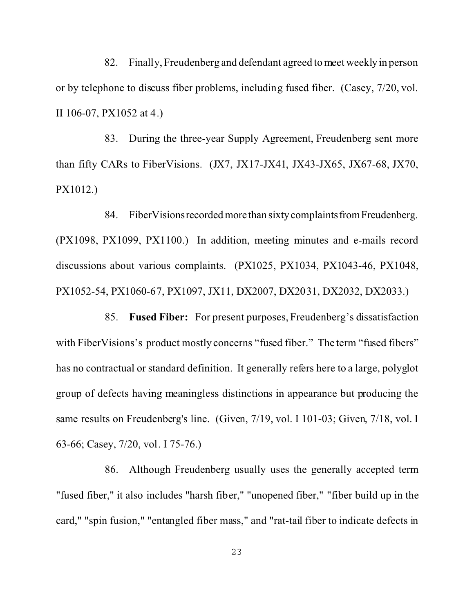82. Finally, Freudenberg and defendant agreed to meet weekly in person or by telephone to discuss fiber problems, including fused fiber. (Casey, 7/20, vol. II 106-07, PX1052 at 4.)

83. During the three-year Supply Agreement, Freudenberg sent more than fifty CARs to FiberVisions. (JX7, JX17-JX41, JX43-JX65, JX67-68, JX70, PX1012.)

84. FiberVisions recorded more than sixty complaints from Freudenberg. (PX1098, PX1099, PX1100.) In addition, meeting minutes and e-mails record discussions about various complaints. (PX1025, PX1034, PX1043-46, PX1048, PX1052-54, PX1060-67, PX1097, JX11, DX2007, DX2031, DX2032, DX2033.)

85. **Fused Fiber:** For present purposes, Freudenberg's dissatisfaction with FiberVisions's product mostly concerns "fused fiber." The term "fused fibers" has no contractual or standard definition. It generally refers here to a large, polyglot group of defects having meaningless distinctions in appearance but producing the same results on Freudenberg's line. (Given, 7/19, vol. I 101-03; Given, 7/18, vol. I 63-66; Casey, 7/20, vol. I 75-76.)

86. Although Freudenberg usually uses the generally accepted term "fused fiber," it also includes "harsh fiber," "unopened fiber," "fiber build up in the card," "spin fusion," "entangled fiber mass," and "rat-tail fiber to indicate defects in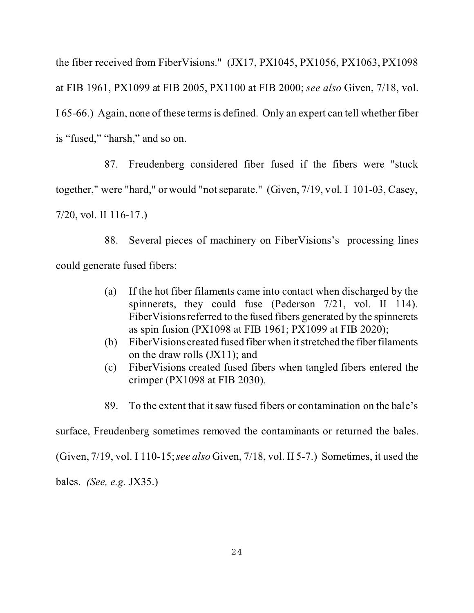the fiber received from FiberVisions." (JX17, PX1045, PX1056, PX1063, PX1098 at FIB 1961, PX1099 at FIB 2005, PX1100 at FIB 2000; *see also* Given, 7/18, vol. I 65-66.) Again, none of these terms is defined. Only an expert can tell whether fiber is "fused," "harsh," and so on.

87. Freudenberg considered fiber fused if the fibers were "stuck

together," were "hard," or would "not separate." (Given, 7/19, vol. I 101-03, Casey,

7/20, vol. II 116-17.)

88. Several pieces of machinery on FiberVisions's processing lines

could generate fused fibers:

- (a) If the hot fiber filaments came into contact when discharged by the spinnerets, they could fuse (Pederson 7/21, vol. II 114). FiberVisions referred to the fused fibers generated by the spinnerets as spin fusion (PX1098 at FIB 1961; PX1099 at FIB 2020);
- (b) FiberVisions created fused fiber when it stretched the fiberfilaments on the draw rolls (JX11); and
- (c) FiberVisions created fused fibers when tangled fibers entered the crimper (PX1098 at FIB 2030).
- 89. To the extent that it saw fused fibers or contamination on the bale's

surface, Freudenberg sometimes removed the contaminants or returned the bales.

(Given, 7/19, vol. I 110-15;*see also* Given, 7/18, vol. II 5-7.) Sometimes, it used the

bales. *(See, e.g.* JX35.)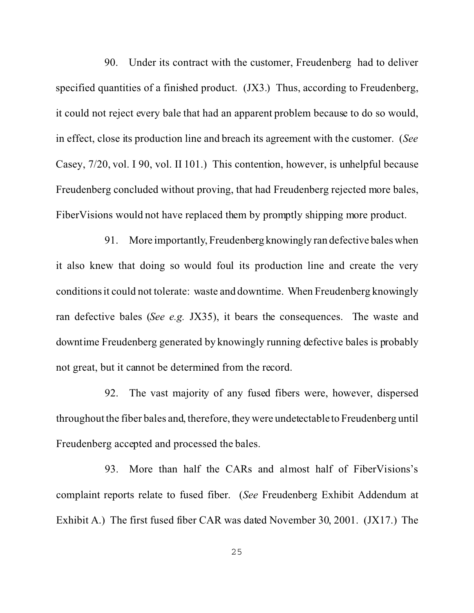90. Under its contract with the customer, Freudenberg had to deliver specified quantities of a finished product. (JX3.) Thus, according to Freudenberg, it could not reject every bale that had an apparent problem because to do so would, in effect, close its production line and breach its agreement with the customer. (*See* Casey, 7/20, vol. I 90, vol. II 101.) This contention, however, is unhelpful because Freudenberg concluded without proving, that had Freudenberg rejected more bales, FiberVisions would not have replaced them by promptly shipping more product.

91. More importantly, Freudenberg knowingly ran defective bales when it also knew that doing so would foul its production line and create the very conditions it could not tolerate: waste and downtime. When Freudenberg knowingly ran defective bales (*See e.g.* JX35), it bears the consequences. The waste and downtime Freudenberg generated by knowingly running defective bales is probably not great, but it cannot be determined from the record.

92. The vast majority of any fused fibers were, however, dispersed throughout the fiber bales and, therefore, they were undetectable to Freudenberg until Freudenberg accepted and processed the bales.

93. More than half the CARs and almost half of FiberVisions's complaint reports relate to fused fiber. (*See* Freudenberg Exhibit Addendum at Exhibit A.) The first fused fiber CAR was dated November 30, 2001. (JX17.) The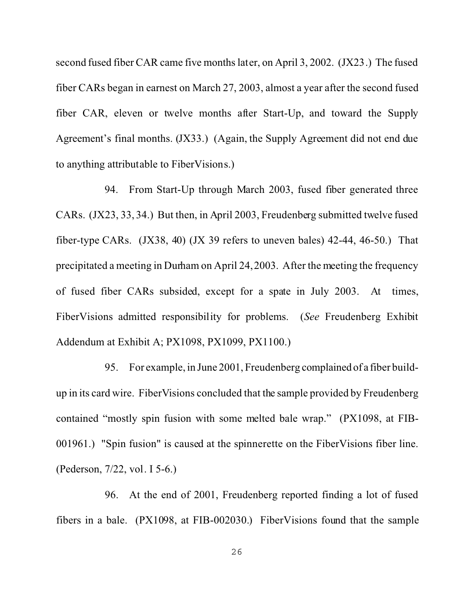second fused fiber CAR came five months later, on April 3, 2002. (JX23.) The fused fiber CARs began in earnest on March 27, 2003, almost a year after the second fused fiber CAR, eleven or twelve months after Start-Up, and toward the Supply Agreement's final months. (JX33.) (Again, the Supply Agreement did not end due to anything attributable to FiberVisions.)

94. From Start-Up through March 2003, fused fiber generated three CARs. (JX23, 33, 34.) But then, in April 2003, Freudenberg submitted twelve fused fiber-type CARs. (JX38, 40) (JX 39 refers to uneven bales) 42-44, 46-50.) That precipitated a meeting in Durham on April 24, 2003. After the meeting the frequency of fused fiber CARs subsided, except for a spate in July 2003. At times, FiberVisions admitted responsibility for problems. (*See* Freudenberg Exhibit Addendum at Exhibit A; PX1098, PX1099, PX1100.)

95. For example, in June 2001, Freudenberg complained of a fiber buildup in its card wire. FiberVisions concluded that the sample provided by Freudenberg contained "mostly spin fusion with some melted bale wrap." (PX1098, at FIB-001961.) "Spin fusion" is caused at the spinnerette on the FiberVisions fiber line. (Pederson, 7/22, vol. I 5-6.)

96. At the end of 2001, Freudenberg reported finding a lot of fused fibers in a bale. (PX1098, at FIB-002030.) FiberVisions found that the sample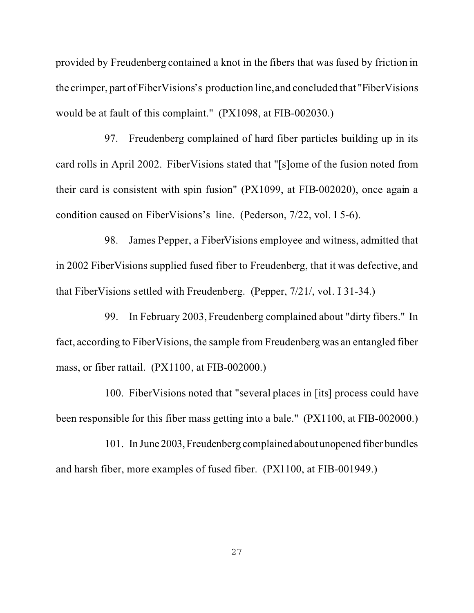provided by Freudenberg contained a knot in the fibers that was fused by friction in the crimper, part of FiberVisions's production line, and concluded that "FiberVisions would be at fault of this complaint." (PX1098, at FIB-002030.)

97. Freudenberg complained of hard fiber particles building up in its card rolls in April 2002. FiberVisions stated that "[s]ome of the fusion noted from their card is consistent with spin fusion" (PX1099, at FIB-002020), once again a condition caused on FiberVisions's line. (Pederson, 7/22, vol. I 5-6).

98. James Pepper, a FiberVisions employee and witness, admitted that in 2002 FiberVisions supplied fused fiber to Freudenberg, that it was defective, and that FiberVisions settled with Freudenberg. (Pepper, 7/21/, vol. I 31-34.)

99. In February 2003, Freudenberg complained about "dirty fibers." In fact, according to FiberVisions, the sample from Freudenberg was an entangled fiber mass, or fiber rattail. (PX1100, at FIB-002000.)

100. FiberVisions noted that "several places in [its] process could have been responsible for this fiber mass getting into a bale." (PX1100, at FIB-002000.)

101. In June 2003,Freudenberg complained about unopened fiber bundles and harsh fiber, more examples of fused fiber. (PX1100, at FIB-001949.)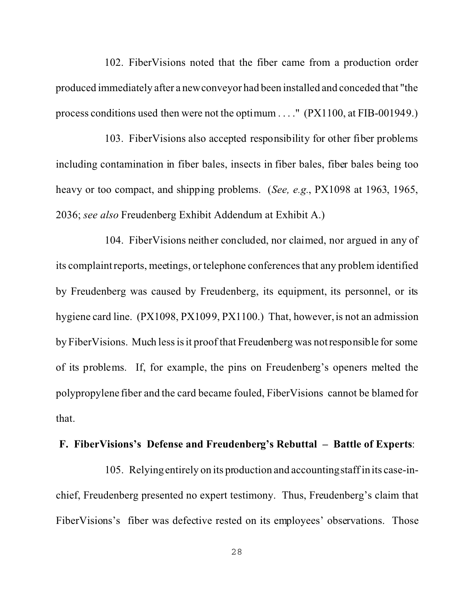102. FiberVisions noted that the fiber came from a production order produced immediately after a new conveyor had been installed and conceded that "the process conditions used then were not the optimum . . . ." (PX1100, at FIB-001949.)

103. FiberVisions also accepted responsibility for other fiber problems including contamination in fiber bales, insects in fiber bales, fiber bales being too heavy or too compact, and shipping problems. (*See, e.g.*, PX1098 at 1963, 1965, 2036; *see also* Freudenberg Exhibit Addendum at Exhibit A.)

104. FiberVisions neither concluded, nor claimed, nor argued in any of its complaint reports, meetings, or telephone conferences that any problem identified by Freudenberg was caused by Freudenberg, its equipment, its personnel, or its hygiene card line. (PX1098, PX1099, PX1100.) That, however, is not an admission by FiberVisions. Much less is it proof that Freudenberg was not responsible for some of its problems. If, for example, the pins on Freudenberg's openers melted the polypropylene fiber and the card became fouled, FiberVisions cannot be blamed for that.

## **F. FiberVisions's Defense and Freudenberg's Rebuttal – Battle of Experts**:

105. Relying entirely on its production and accounting staff in its case-inchief, Freudenberg presented no expert testimony. Thus, Freudenberg's claim that FiberVisions's fiber was defective rested on its employees' observations. Those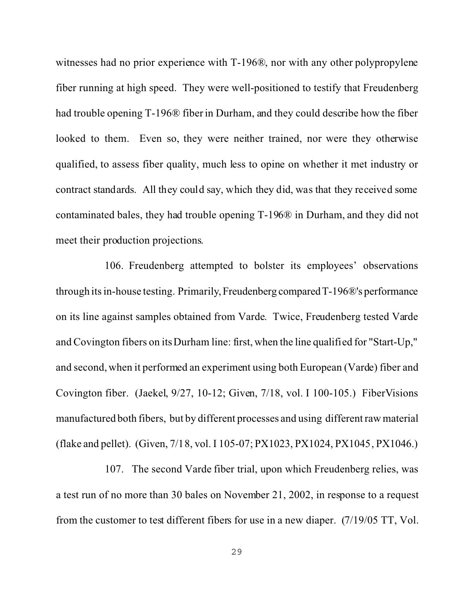witnesses had no prior experience with T-196<sup>®</sup>, nor with any other polypropylene fiber running at high speed. They were well-positioned to testify that Freudenberg had trouble opening T-196® fiber in Durham, and they could describe how the fiber looked to them. Even so, they were neither trained, nor were they otherwise qualified, to assess fiber quality, much less to opine on whether it met industry or contract standards. All they could say, which they did, was that they received some contaminated bales, they had trouble opening T-196® in Durham, and they did not meet their production projections.

106. Freudenberg attempted to bolster its employees' observations through its in-house testing. Primarily,Freudenberg comparedT-196®'s performance on its line against samples obtained from Varde. Twice, Freudenberg tested Varde and Covington fibers on its Durham line: first, when the line qualified for "Start-Up," and second, when it performed an experiment using both European (Varde) fiber and Covington fiber. (Jaekel, 9/27, 10-12; Given, 7/18, vol. I 100-105.) FiberVisions manufactured both fibers, but by different processes and using different raw material (flake and pellet). (Given, 7/18, vol. I 105-07; PX1023, PX1024, PX1045, PX1046.)

107. The second Varde fiber trial, upon which Freudenberg relies, was a test run of no more than 30 bales on November 21, 2002, in response to a request from the customer to test different fibers for use in a new diaper. (7/19/05 TT, Vol.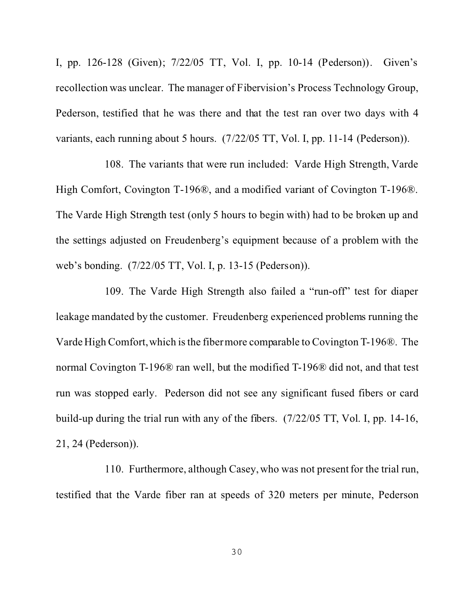I, pp. 126-128 (Given); 7/22/05 TT, Vol. I, pp. 10-14 (Pederson)). Given's recollection was unclear. The manager of Fibervision's Process Technology Group, Pederson, testified that he was there and that the test ran over two days with 4 variants, each running about 5 hours. (7/22/05 TT, Vol. I, pp. 11-14 (Pederson)).

108. The variants that were run included: Varde High Strength, Varde High Comfort, Covington T-196®, and a modified variant of Covington T-196®. The Varde High Strength test (only 5 hours to begin with) had to be broken up and the settings adjusted on Freudenberg's equipment because of a problem with the web's bonding. (7/22/05 TT, Vol. I, p. 13-15 (Pederson)).

109. The Varde High Strength also failed a "run-off" test for diaper leakage mandated by the customer. Freudenberg experienced problems running the Varde High Comfort, which is the fiber more comparable to Covington T-196®. The normal Covington T-196® ran well, but the modified T-196® did not, and that test run was stopped early. Pederson did not see any significant fused fibers or card build-up during the trial run with any of the fibers. (7/22/05 TT, Vol. I, pp. 14-16, 21, 24 (Pederson)).

110. Furthermore, although Casey, who was not present for the trial run, testified that the Varde fiber ran at speeds of 320 meters per minute, Pederson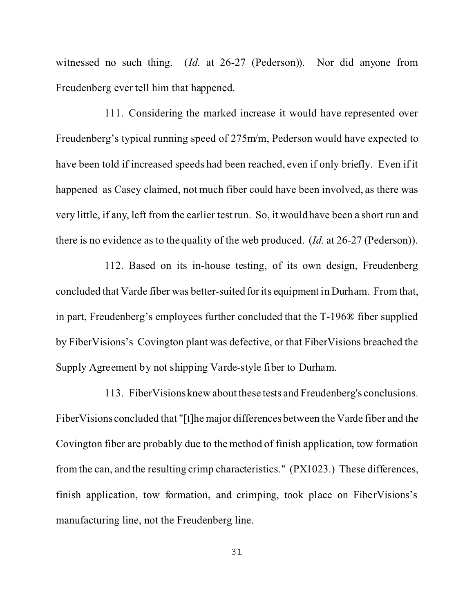witnessed no such thing. (*Id.* at 26-27 (Pederson)). Nor did anyone from Freudenberg ever tell him that happened.

111. Considering the marked increase it would have represented over Freudenberg's typical running speed of 275m/m, Pederson would have expected to have been told if increased speeds had been reached, even if only briefly. Even if it happened as Casey claimed, not much fiber could have been involved, as there was very little, if any, left from the earlier test run. So, it would have been a short run and there is no evidence as to the quality of the web produced. (*Id.* at 26-27 (Pederson)).

112. Based on its in-house testing, of its own design, Freudenberg concluded that Varde fiber was better-suited for its equipment in Durham. From that, in part, Freudenberg's employees further concluded that the T-196® fiber supplied by FiberVisions's Covington plant was defective, or that FiberVisions breached the Supply Agreement by not shipping Varde-style fiber to Durham.

113. FiberVisions knew about these tests and Freudenberg's conclusions. FiberVisions concluded that "[t]he major differences between the Varde fiber and the Covington fiber are probably due to the method of finish application, tow formation from the can, and the resulting crimp characteristics." (PX1023.) These differences, finish application, tow formation, and crimping, took place on FiberVisions's manufacturing line, not the Freudenberg line.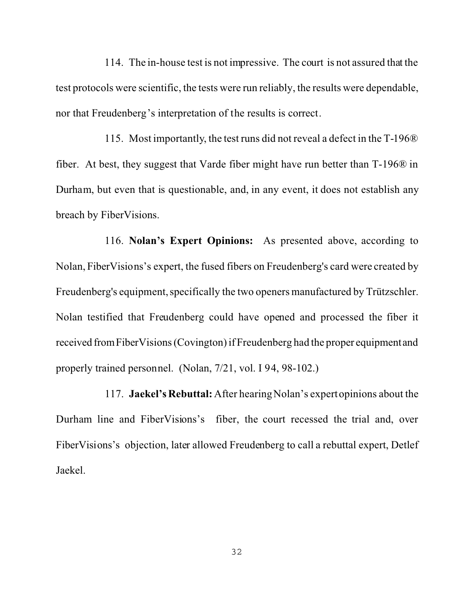114. The in-house test is not impressive. The court is not assured that the test protocols were scientific, the tests were run reliably, the results were dependable, nor that Freudenberg's interpretation of the results is correct.

115. Most importantly, the test runs did not reveal a defect in the T-196® fiber. At best, they suggest that Varde fiber might have run better than T-196® in Durham, but even that is questionable, and, in any event, it does not establish any breach by FiberVisions.

116. **Nolan's Expert Opinions:** As presented above, according to Nolan, FiberVisions's expert, the fused fibers on Freudenberg's card were created by Freudenberg's equipment, specifically the two openers manufactured by Trützschler. Nolan testified that Freudenberg could have opened and processed the fiber it received fromFiberVisions (Covington) if Freudenberg had the proper equipmentand properly trained personnel. (Nolan, 7/21, vol. I 94, 98-102.)

117. **Jaekel's Rebuttal:** After hearing Nolan's expert opinions about the Durham line and FiberVisions's fiber, the court recessed the trial and, over FiberVisions's objection, later allowed Freudenberg to call a rebuttal expert, Detlef Jaekel.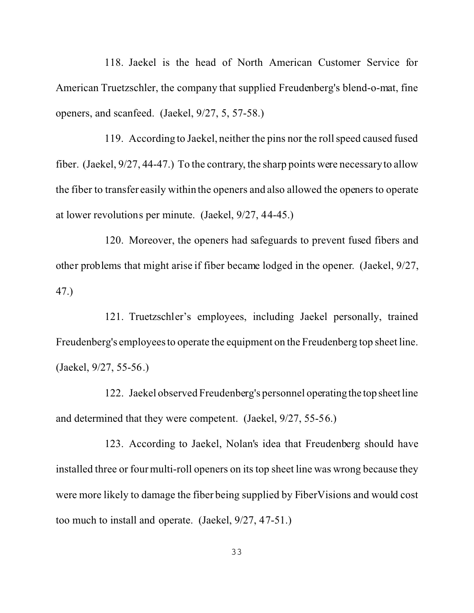118. Jaekel is the head of North American Customer Service for American Truetzschler, the company that supplied Freudenberg's blend-o-mat, fine openers, and scanfeed. (Jaekel, 9/27, 5, 57-58.)

119. According to Jaekel, neither the pins nor the roll speed caused fused fiber. (Jaekel, 9/27, 44-47.) To the contrary, the sharp points were necessary to allow the fiber to transfer easily within the openers and also allowed the openers to operate at lower revolutions per minute. (Jaekel, 9/27, 44-45.)

120. Moreover, the openers had safeguards to prevent fused fibers and other problems that might arise if fiber became lodged in the opener. (Jaekel, 9/27, 47.)

121. Truetzschler's employees, including Jaekel personally, trained Freudenberg's employees to operate the equipment on the Freudenberg top sheet line. (Jaekel, 9/27, 55-56.)

122. Jaekel observed Freudenberg's personnel operatingthe top sheet line and determined that they were competent. (Jaekel, 9/27, 55-56.)

123. According to Jaekel, Nolan's idea that Freudenberg should have installed three or four multi-roll openers on its top sheet line was wrong because they were more likely to damage the fiber being supplied by FiberVisions and would cost too much to install and operate. (Jaekel, 9/27, 47-51.)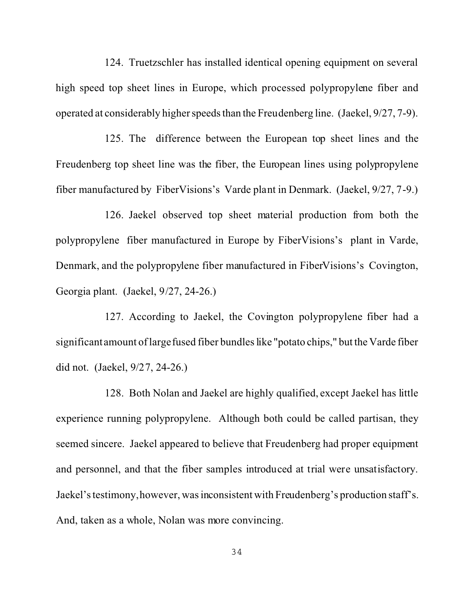124. Truetzschler has installed identical opening equipment on several high speed top sheet lines in Europe, which processed polypropylene fiber and operated at considerably higher speeds than the Freudenberg line. (Jaekel, 9/27, 7-9).

125. The difference between the European top sheet lines and the Freudenberg top sheet line was the fiber, the European lines using polypropylene fiber manufactured by FiberVisions's Varde plant in Denmark. (Jaekel, 9/27, 7-9.)

126. Jaekel observed top sheet material production from both the polypropylene fiber manufactured in Europe by FiberVisions's plant in Varde, Denmark, and the polypropylene fiber manufactured in FiberVisions's Covington, Georgia plant. (Jaekel, 9/27, 24-26.)

127. According to Jaekel, the Covington polypropylene fiber had a significant amount of large fused fiber bundles like "potato chips," but the Varde fiber did not. (Jaekel, 9/27, 24-26.)

128. Both Nolan and Jaekel are highly qualified, except Jaekel has little experience running polypropylene. Although both could be called partisan, they seemed sincere. Jaekel appeared to believe that Freudenberg had proper equipment and personnel, and that the fiber samples introduced at trial were unsatisfactory. Jaekel's testimony, however, was inconsistent with Freudenberg's production staff's. And, taken as a whole, Nolan was more convincing.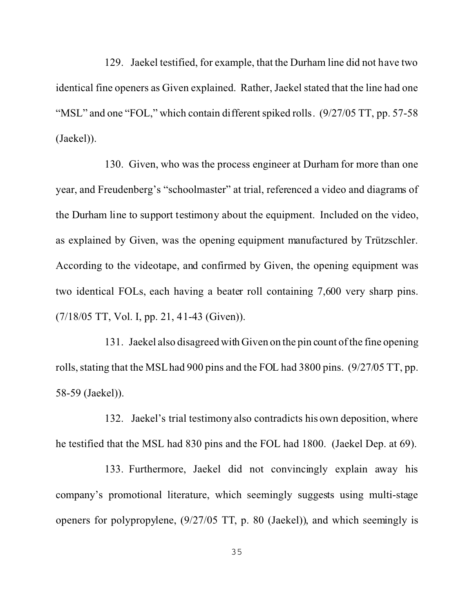129. Jaekel testified, for example, that the Durham line did not have two identical fine openers as Given explained. Rather, Jaekel stated that the line had one "MSL" and one "FOL," which contain different spiked rolls. (9/27/05 TT, pp. 57-58) (Jaekel)).

130. Given, who was the process engineer at Durham for more than one year, and Freudenberg's "schoolmaster" at trial, referenced a video and diagrams of the Durham line to support testimony about the equipment. Included on the video, as explained by Given, was the opening equipment manufactured by Trützschler. According to the videotape, and confirmed by Given, the opening equipment was two identical FOLs, each having a beater roll containing 7,600 very sharp pins. (7/18/05 TT, Vol. I, pp. 21, 41-43 (Given)).

131. Jaekel also disagreed with Given on the pin count of the fine opening rolls, stating that the MSL had 900 pins and the FOL had 3800 pins. (9/27/05 TT, pp. 58-59 (Jaekel)).

132. Jaekel's trial testimony also contradicts his own deposition, where he testified that the MSL had 830 pins and the FOL had 1800. (Jaekel Dep. at 69).

133. Furthermore, Jaekel did not convincingly explain away his company's promotional literature, which seemingly suggests using multi-stage openers for polypropylene, (9/27/05 TT, p. 80 (Jaekel)), and which seemingly is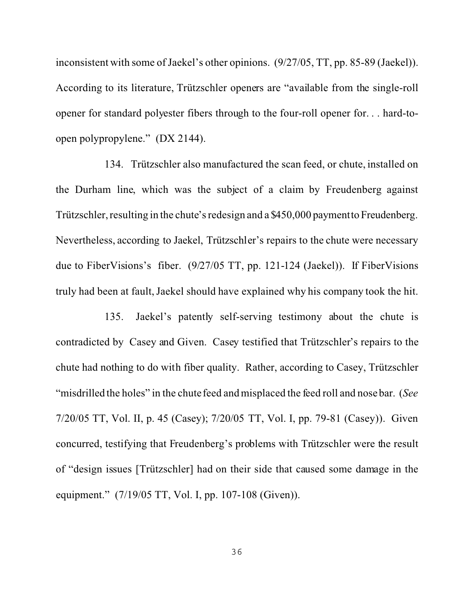inconsistent with some of Jaekel's other opinions. (9/27/05, TT, pp. 85-89 (Jaekel)). According to its literature, Trützschler openers are "available from the single-roll opener for standard polyester fibers through to the four-roll opener for. . . hard-toopen polypropylene." (DX 2144).

134. Trützschler also manufactured the scan feed, or chute, installed on the Durham line, which was the subject of a claim by Freudenberg against Trützschler, resulting in the chute's redesign and a \$450,000 paymentto Freudenberg. Nevertheless, according to Jaekel, Trützschler's repairs to the chute were necessary due to FiberVisions's fiber. (9/27/05 TT, pp. 121-124 (Jaekel)). If FiberVisions truly had been at fault, Jaekel should have explained why his company took the hit.

135. Jaekel's patently self-serving testimony about the chute is contradicted by Casey and Given. Casey testified that Trützschler's repairs to the chute had nothing to do with fiber quality. Rather, according to Casey, Trützschler "misdrilled the holes" in the chute feed and misplaced the feed roll and nose bar. (*See* 7/20/05 TT, Vol. II, p. 45 (Casey); 7/20/05 TT, Vol. I, pp. 79-81 (Casey)). Given concurred, testifying that Freudenberg's problems with Trützschler were the result of "design issues [Trützschler] had on their side that caused some damage in the equipment." (7/19/05 TT, Vol. I, pp. 107-108 (Given)).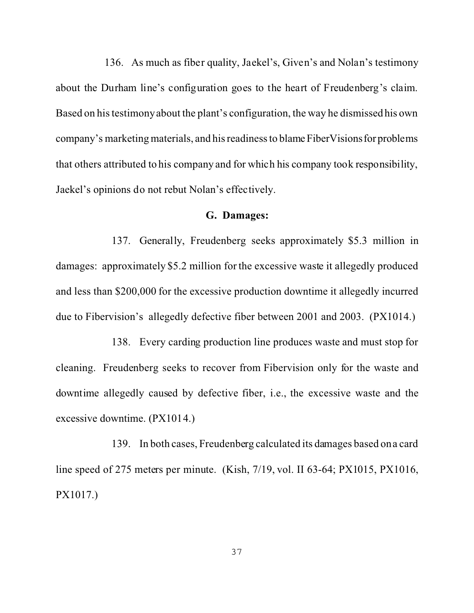136. As much as fiber quality, Jaekel's, Given's and Nolan's testimony about the Durham line's configuration goes to the heart of Freudenberg's claim. Based on his testimony about the plant's configuration, the way he dismissed his own company's marketing materials, and his readiness to blame FiberVisionsfor problems that others attributed to his company and for which his company took responsibility, Jaekel's opinions do not rebut Nolan's effectively.

#### **G. Damages:**

137. Generally, Freudenberg seeks approximately \$5.3 million in damages: approximately \$5.2 million for the excessive waste it allegedly produced and less than \$200,000 for the excessive production downtime it allegedly incurred due to Fibervision's allegedly defective fiber between 2001 and 2003. (PX1014.)

138. Every carding production line produces waste and must stop for cleaning. Freudenberg seeks to recover from Fibervision only for the waste and downtime allegedly caused by defective fiber, i.e., the excessive waste and the excessive downtime. (PX1014.)

139. In both cases, Freudenberg calculated its damages based on a card line speed of 275 meters per minute. (Kish, 7/19, vol. II 63-64; PX1015, PX1016, PX1017.)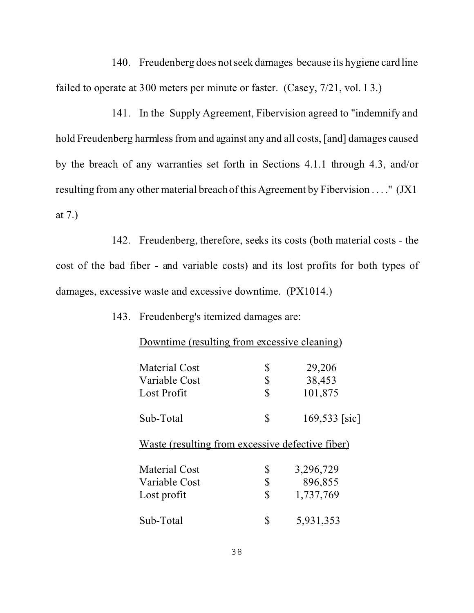140. Freudenberg does not seek damages because its hygiene card line failed to operate at 300 meters per minute or faster. (Casey, 7/21, vol. I 3.)

141. In the Supply Agreement, Fibervision agreed to "indemnify and hold Freudenberg harmless from and against any and all costs, [and] damages caused by the breach of any warranties set forth in Sections 4.1.1 through 4.3, and/or resulting from any other material breach of this Agreement by Fibervision . . . ." (JX1 at 7.)

142. Freudenberg, therefore, seeks its costs (both material costs - the cost of the bad fiber - and variable costs) and its lost profits for both types of damages, excessive waste and excessive downtime. (PX1014.)

Downtime (resulting from excessive cleaning)

143. Freudenberg's itemized damages are:

| Material Cost                                           | \$<br>29,206          |
|---------------------------------------------------------|-----------------------|
| Variable Cost                                           | \$<br>38,453          |
| Lost Profit                                             | \$<br>101,875         |
| Sub-Total                                               | \$<br>$169,533$ [sic] |
| <u>Waste (resulting from excessive defective fiber)</u> |                       |
| Material Cost                                           | \$<br>3,296,729       |
| Variable Cost                                           | \$<br>896,855         |
| Lost profit                                             | \$<br>1,737,769       |
| Sub-Total                                               | \$<br>5,931,353       |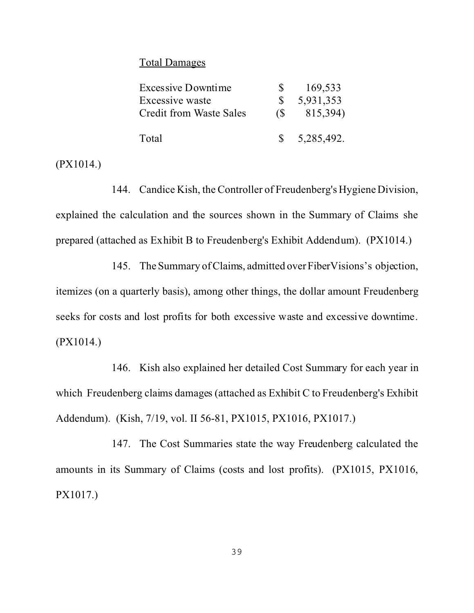### Total Damages

| <b>Excessive Downtime</b>      | $\mathbf{S}$ | 169,533      |
|--------------------------------|--------------|--------------|
| Excessive waste                |              | 5,931,353    |
| <b>Credit from Waste Sales</b> | (S           | 815,394)     |
| Total                          |              | \$5,285,492. |

(PX1014.)

144. Candice Kish, the Controller of Freudenberg's Hygiene Division, explained the calculation and the sources shown in the Summary of Claims she prepared (attached as Exhibit B to Freudenberg's Exhibit Addendum). (PX1014.)

145. The Summary of Claims, admitted over FiberVisions's objection, itemizes (on a quarterly basis), among other things, the dollar amount Freudenberg seeks for costs and lost profits for both excessive waste and excessive downtime. (PX1014.)

146. Kish also explained her detailed Cost Summary for each year in which Freudenberg claims damages (attached as Exhibit C to Freudenberg's Exhibit Addendum). (Kish, 7/19, vol. II 56-81, PX1015, PX1016, PX1017.)

147. The Cost Summaries state the way Freudenberg calculated the amounts in its Summary of Claims (costs and lost profits). (PX1015, PX1016, PX1017.)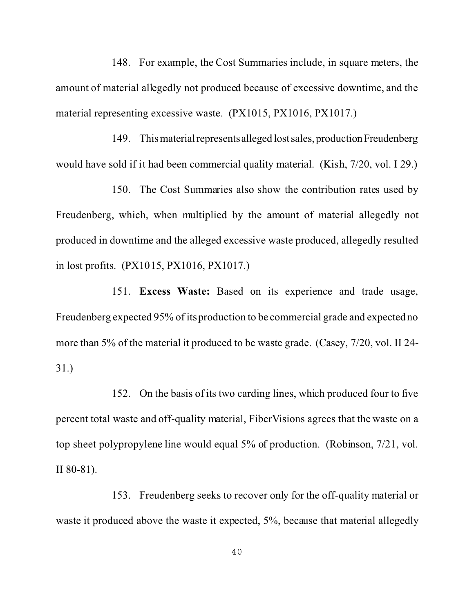148. For example, the Cost Summaries include, in square meters, the amount of material allegedly not produced because of excessive downtime, and the material representing excessive waste. (PX1015, PX1016, PX1017.)

149. This material represents alleged lost sales, production Freudenberg would have sold if it had been commercial quality material. (Kish, 7/20, vol. I 29.)

150. The Cost Summaries also show the contribution rates used by Freudenberg, which, when multiplied by the amount of material allegedly not produced in downtime and the alleged excessive waste produced, allegedly resulted in lost profits. (PX1015, PX1016, PX1017.)

151. **Excess Waste:** Based on its experience and trade usage, Freudenberg expected 95% of its production to be commercial grade and expected no more than 5% of the material it produced to be waste grade. (Casey, 7/20, vol. II 24- 31.)

152. On the basis of its two carding lines, which produced four to five percent total waste and off-quality material, FiberVisions agrees that the waste on a top sheet polypropylene line would equal 5% of production. (Robinson, 7/21, vol. II 80-81).

153. Freudenberg seeks to recover only for the off-quality material or waste it produced above the waste it expected, 5%, because that material allegedly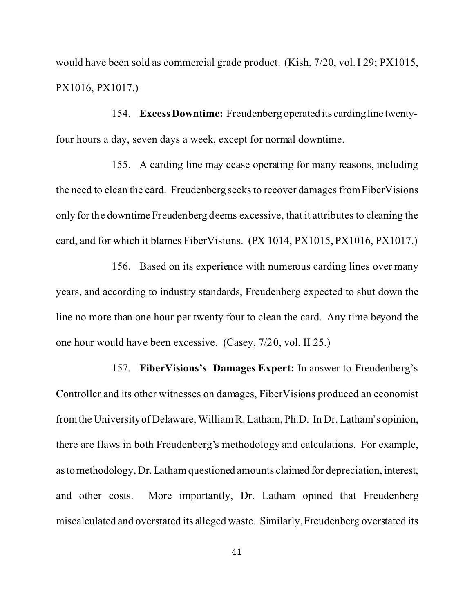would have been sold as commercial grade product. (Kish, 7/20, vol. I 29; PX1015, PX1016, PX1017.)

154. **Excess Downtime:** Freudenberg operated its cardingline twentyfour hours a day, seven days a week, except for normal downtime.

155. A carding line may cease operating for many reasons, including the need to clean the card. Freudenberg seeks to recover damages from FiberVisions only for the downtime Freudenberg deems excessive, that it attributes to cleaning the card, and for which it blames FiberVisions. (PX 1014, PX1015, PX1016, PX1017.)

156. Based on its experience with numerous carding lines over many years, and according to industry standards, Freudenberg expected to shut down the line no more than one hour per twenty-four to clean the card. Any time beyond the one hour would have been excessive. (Casey, 7/20, vol. II 25.)

157. **FiberVisions's Damages Expert:** In answer to Freudenberg's Controller and its other witnesses on damages, FiberVisions produced an economist from the University of Delaware, William R. Latham, Ph.D. In Dr. Latham's opinion, there are flaws in both Freudenberg's methodology and calculations. For example, astomethodology, Dr. Latham questioned amounts claimed for depreciation, interest, and other costs. More importantly, Dr. Latham opined that Freudenberg miscalculated and overstated its alleged waste. Similarly, Freudenberg overstated its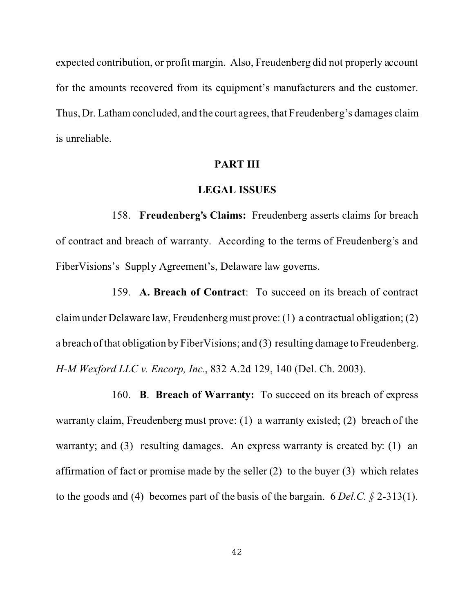expected contribution, or profit margin. Also, Freudenberg did not properly account for the amounts recovered from its equipment's manufacturers and the customer. Thus, Dr. Latham concluded, and the court agrees, that Freudenberg's damages claim is unreliable.

### **PART III**

### **LEGAL ISSUES**

158. **Freudenberg's Claims:** Freudenberg asserts claims for breach of contract and breach of warranty. According to the terms of Freudenberg's and FiberVisions's Supply Agreement's, Delaware law governs.

159. **A. Breach of Contract**: To succeed on its breach of contract claim under Delaware law, Freudenberg must prove: (1) a contractual obligation; (2) a breach of that obligation by FiberVisions; and (3) resulting damage to Freudenberg. *H-M Wexford LLC v. Encorp, Inc.*, 832 A.2d 129, 140 (Del. Ch. 2003).

160. **B**. **Breach of Warranty:** To succeed on its breach of express warranty claim, Freudenberg must prove: (1) a warranty existed; (2) breach of the warranty; and (3) resulting damages. An express warranty is created by: (1) an affirmation of fact or promise made by the seller (2) to the buyer (3) which relates to the goods and (4) becomes part of the basis of the bargain. 6 *Del.C. §* 2-313(1).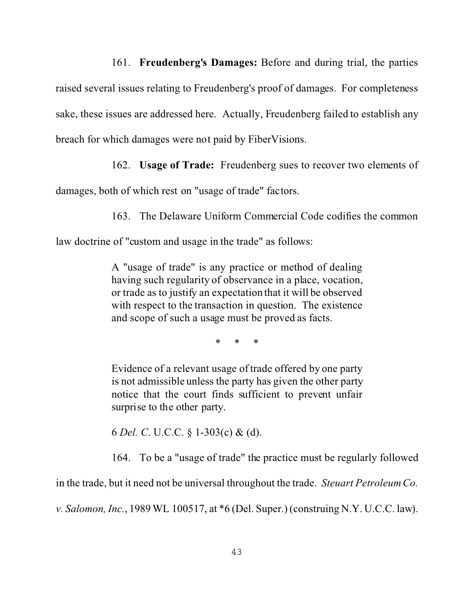161. **Freudenberg's Damages:** Before and during trial, the parties raised several issues relating to Freudenberg's proof of damages. For completeness sake, these issues are addressed here. Actually, Freudenberg failed to establish any breach for which damages were not paid by FiberVisions.

162. **Usage of Trade:** Freudenberg sues to recover two elements of

damages, both of which rest on "usage of trade" factors.

163. The Delaware Uniform Commercial Code codifies the common

law doctrine of "custom and usage in the trade" as follows:

A "usage of trade" is any practice or method of dealing having such regularity of observance in a place, vocation, or trade as to justify an expectation that it will be observed with respect to the transaction in question. The existence and scope of such a usage must be proved as facts.

\* \* \*

Evidence of a relevant usage of trade offered by one party is not admissible unless the party has given the other party notice that the court finds sufficient to prevent unfair surprise to the other party.

6 *Del. C*. U.C.C. § 1-303(c) & (d).

164. To be a "usage of trade" the practice must be regularly followed

in the trade, but it need not be universal throughout the trade. *Steuart Petroleum Co.*

*v. Salomon, Inc.*, 1989 WL 100517, at \*6 (Del. Super.) (construing N.Y. U.C.C. law).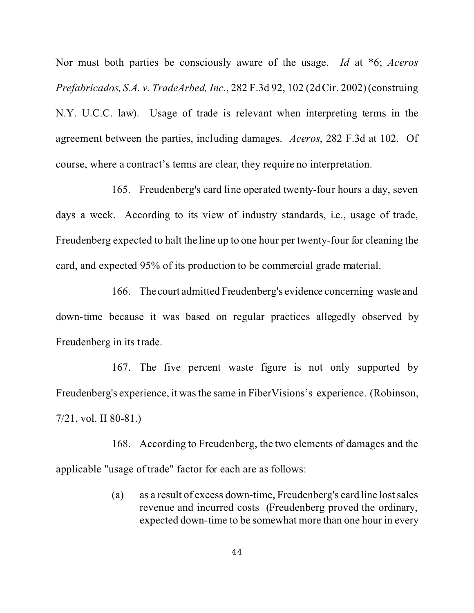Nor must both parties be consciously aware of the usage. *Id* at \*6; *Aceros Prefabricados, S.A. v. TradeArbed, Inc.*, 282 F.3d 92, 102 (2d Cir. 2002) (construing N.Y. U.C.C. law). Usage of trade is relevant when interpreting terms in the agreement between the parties, including damages. *Aceros*, 282 F.3d at 102. Of course, where a contract's terms are clear, they require no interpretation.

165. Freudenberg's card line operated twenty-four hours a day, seven days a week. According to its view of industry standards, i.e., usage of trade, Freudenberg expected to halt the line up to one hour per twenty-four for cleaning the card, and expected 95% of its production to be commercial grade material.

166. The court admitted Freudenberg's evidence concerning waste and down-time because it was based on regular practices allegedly observed by Freudenberg in its trade.

167. The five percent waste figure is not only supported by Freudenberg's experience, it was the same in FiberVisions's experience. (Robinson, 7/21, vol. II 80-81.)

168. According to Freudenberg, the two elements of damages and the applicable "usage of trade" factor for each are as follows:

> (a) as a result of excess down-time, Freudenberg's card line lost sales revenue and incurred costs (Freudenberg proved the ordinary, expected down-time to be somewhat more than one hour in every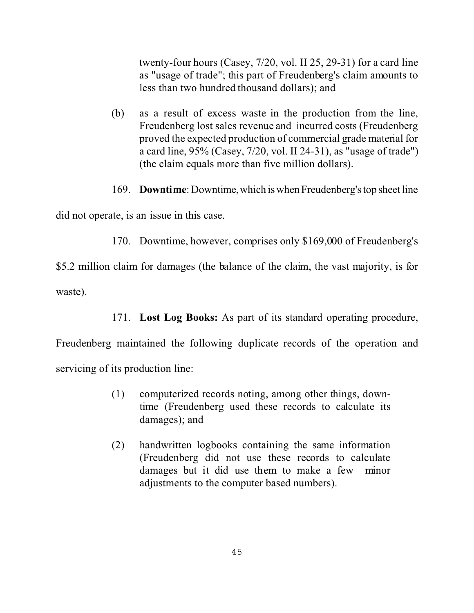twenty-four hours (Casey, 7/20, vol. II 25, 29-31) for a card line as "usage of trade"; this part of Freudenberg's claim amounts to less than two hundred thousand dollars); and

- (b) as a result of excess waste in the production from the line, Freudenberg lost sales revenue and incurred costs (Freudenberg proved the expected production of commercial grade material for a card line, 95% (Casey, 7/20, vol. II 24-31), as "usage of trade") (the claim equals more than five million dollars).
- 169. **Downtime**: Downtime, which is when Freudenberg's top sheet line

did not operate, is an issue in this case.

170. Downtime, however, comprises only \$169,000 of Freudenberg's

\$5.2 million claim for damages (the balance of the claim, the vast majority, is for waste).

171. **Lost Log Books:** As part of its standard operating procedure,

Freudenberg maintained the following duplicate records of the operation and servicing of its production line:

- (1) computerized records noting, among other things, downtime (Freudenberg used these records to calculate its damages); and
- (2) handwritten logbooks containing the same information (Freudenberg did not use these records to calculate damages but it did use them to make a few minor adjustments to the computer based numbers).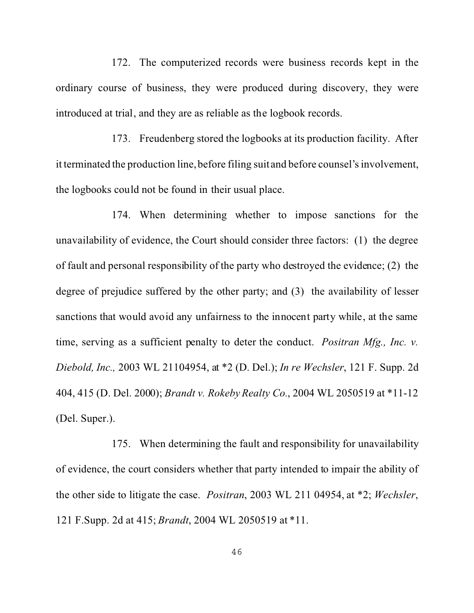172. The computerized records were business records kept in the ordinary course of business, they were produced during discovery, they were introduced at trial, and they are as reliable as the logbook records.

173. Freudenberg stored the logbooks at its production facility. After it terminated the production line, before filing suit and before counsel's involvement, the logbooks could not be found in their usual place.

174. When determining whether to impose sanctions for the unavailability of evidence, the Court should consider three factors: (1) the degree of fault and personal responsibility of the party who destroyed the evidence; (2) the degree of prejudice suffered by the other party; and (3) the availability of lesser sanctions that would avoid any unfairness to the innocent party while, at the same time, serving as a sufficient penalty to deter the conduct. *Positran Mfg., Inc. v. Diebold, Inc.,* 2003 WL 21104954, at \*2 (D. Del.); *In re Wechsler*, 121 F. Supp. 2d 404, 415 (D. Del. 2000); *Brandt v. Rokeby Realty Co.*, 2004 WL 2050519 at \*11-12 (Del. Super.).

175. When determining the fault and responsibility for unavailability of evidence, the court considers whether that party intended to impair the ability of the other side to litigate the case. *Positran*, 2003 WL 211 04954, at \*2; *Wechsler*, 121 F.Supp. 2d at 415; *Brandt*, 2004 WL 2050519 at \*11.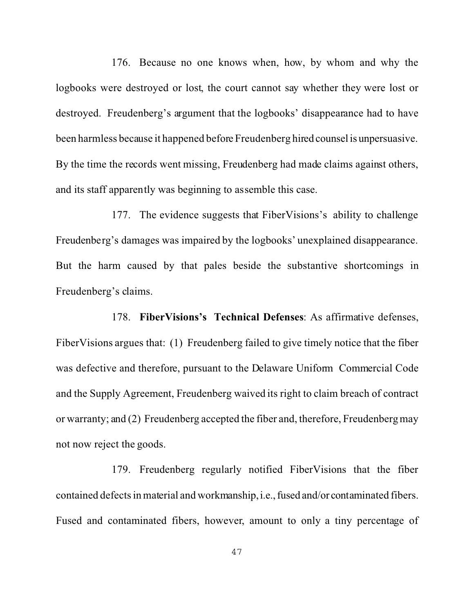176. Because no one knows when, how, by whom and why the logbooks were destroyed or lost, the court cannot say whether they were lost or destroyed. Freudenberg's argument that the logbooks' disappearance had to have been harmless because it happened before Freudenberg hired counsel is unpersuasive. By the time the records went missing, Freudenberg had made claims against others, and its staff apparently was beginning to assemble this case.

177. The evidence suggests that FiberVisions's ability to challenge Freudenberg's damages was impaired by the logbooks' unexplained disappearance. But the harm caused by that pales beside the substantive shortcomings in Freudenberg's claims.

178. **FiberVisions's Technical Defenses**: As affirmative defenses, FiberVisions argues that: (1) Freudenberg failed to give timely notice that the fiber was defective and therefore, pursuant to the Delaware Uniform Commercial Code and the Supply Agreement, Freudenberg waived its right to claim breach of contract or warranty; and (2) Freudenberg accepted the fiber and, therefore, Freudenberg may not now reject the goods.

179. Freudenberg regularly notified FiberVisions that the fiber contained defects in material and workmanship, i.e., fused and/or contaminated fibers. Fused and contaminated fibers, however, amount to only a tiny percentage of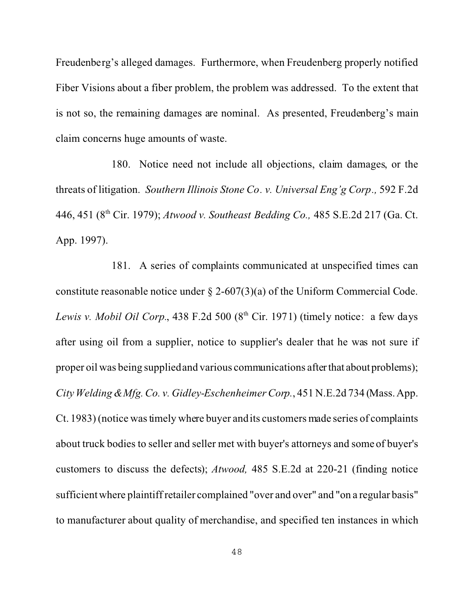Freudenberg's alleged damages. Furthermore, when Freudenberg properly notified Fiber Visions about a fiber problem, the problem was addressed. To the extent that is not so, the remaining damages are nominal. As presented, Freudenberg's main claim concerns huge amounts of waste.

180. Notice need not include all objections, claim damages, or the threats of litigation. *Southern Illinois Stone Co. v. Universal Eng'g Corp.,* 592 F.2d 446, 451 (8th Cir. 1979); *Atwood v. Southeast Bedding Co.,* 485 S.E.2d 217 (Ga. Ct. App. 1997).

181. A series of complaints communicated at unspecified times can constitute reasonable notice under § 2-607(3)(a) of the Uniform Commercial Code. *Lewis v. Mobil Oil Corp.*, 438 F.2d 500  $(8<sup>th</sup> Cir. 1971)$  (timely notice: a few days after using oil from a supplier, notice to supplier's dealer that he was not sure if proper oil was being supplied and various communications afterthat about problems); *City Welding & Mfg. Co. v. Gidley-Eschenheimer Corp.*, 451 N.E.2d 734 (Mass. App. Ct. 1983) (notice was timely where buyer and its customers made series of complaints about truck bodies to seller and seller met with buyer's attorneys and some of buyer's customers to discuss the defects); *Atwood,* 485 S.E.2d at 220-21 (finding notice sufficient where plaintiff retailer complained "over and over" and "on a regular basis" to manufacturer about quality of merchandise, and specified ten instances in which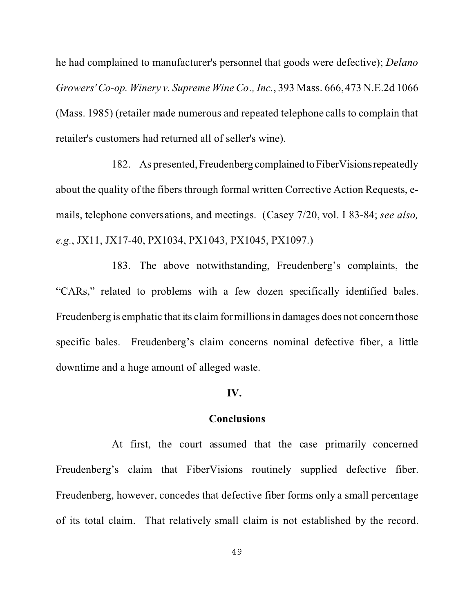he had complained to manufacturer's personnel that goods were defective); *Delano Growers' Co-op. Winery v. Supreme Wine Co., Inc.*, 393 Mass. 666, 473 N.E.2d 1066 (Mass. 1985) (retailer made numerous and repeated telephone calls to complain that retailer's customers had returned all of seller's wine).

182. As presented, Freudenberg complained to FiberVisions repeatedly about the quality of the fibers through formal written Corrective Action Requests, emails, telephone conversations, and meetings. (Casey 7/20, vol. I 83-84; *see also, e.g.*, JX11, JX17-40, PX1034, PX1043, PX1045, PX1097.)

183. The above notwithstanding, Freudenberg's complaints, the "CARs," related to problems with a few dozen specifically identified bales. Freudenberg is emphatic that its claim for millions in damages does not concern those specific bales. Freudenberg's claim concerns nominal defective fiber, a little downtime and a huge amount of alleged waste.

#### **IV.**

### **Conclusions**

At first, the court assumed that the case primarily concerned Freudenberg's claim that FiberVisions routinely supplied defective fiber. Freudenberg, however, concedes that defective fiber forms only a small percentage of its total claim. That relatively small claim is not established by the record.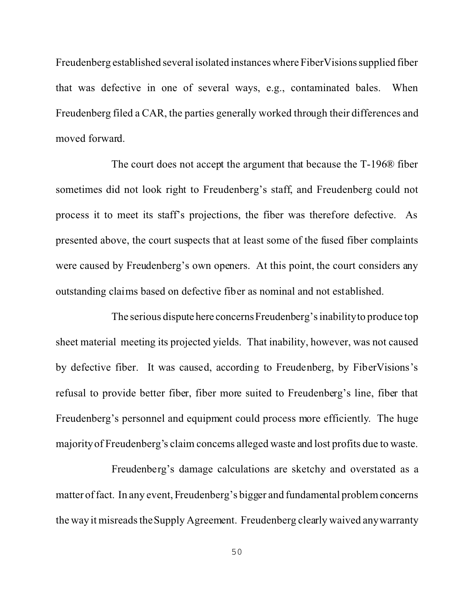Freudenberg established several isolated instanceswhere FiberVisions supplied fiber that was defective in one of several ways, e.g., contaminated bales. When Freudenberg filed a CAR, the parties generally worked through their differences and moved forward.

The court does not accept the argument that because the T-196® fiber sometimes did not look right to Freudenberg's staff, and Freudenberg could not process it to meet its staff's projections, the fiber was therefore defective. As presented above, the court suspects that at least some of the fused fiber complaints were caused by Freudenberg's own openers. At this point, the court considers any outstanding claims based on defective fiber as nominal and not established.

The serious dispute here concernsFreudenberg's inability to produce top sheet material meeting its projected yields. That inability, however, was not caused by defective fiber. It was caused, according to Freudenberg, by FiberVisions's refusal to provide better fiber, fiber more suited to Freudenberg's line, fiber that Freudenberg's personnel and equipment could process more efficiently. The huge majority of Freudenberg's claim concerns alleged waste and lost profits due to waste.

Freudenberg's damage calculations are sketchy and overstated as a matter of fact. In any event, Freudenberg's bigger and fundamental problem concerns the way it misreads the Supply Agreement. Freudenberg clearly waived any warranty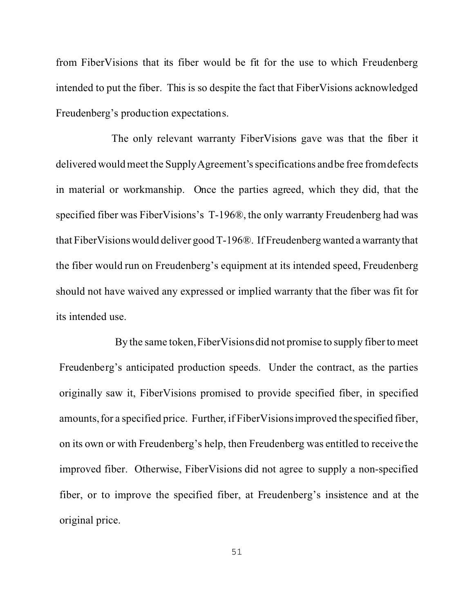from FiberVisions that its fiber would be fit for the use to which Freudenberg intended to put the fiber. This is so despite the fact that FiberVisions acknowledged Freudenberg's production expectations.

The only relevant warranty FiberVisions gave was that the fiber it delivered would meet the Supply Agreement's specifications and be free from defects in material or workmanship. Once the parties agreed, which they did, that the specified fiber was FiberVisions's T-196®, the only warranty Freudenberg had was that FiberVisions would deliver good T-196®. If Freudenberg wanted a warrantythat the fiber would run on Freudenberg's equipment at its intended speed, Freudenberg should not have waived any expressed or implied warranty that the fiber was fit for its intended use.

By the same token, FiberVisions did not promise to supply fiber to meet Freudenberg's anticipated production speeds. Under the contract, as the parties originally saw it, FiberVisions promised to provide specified fiber, in specified amounts, for a specified price. Further, if FiberVisions improved the specified fiber, on its own or with Freudenberg's help, then Freudenberg was entitled to receive the improved fiber. Otherwise, FiberVisions did not agree to supply a non-specified fiber, or to improve the specified fiber, at Freudenberg's insistence and at the original price.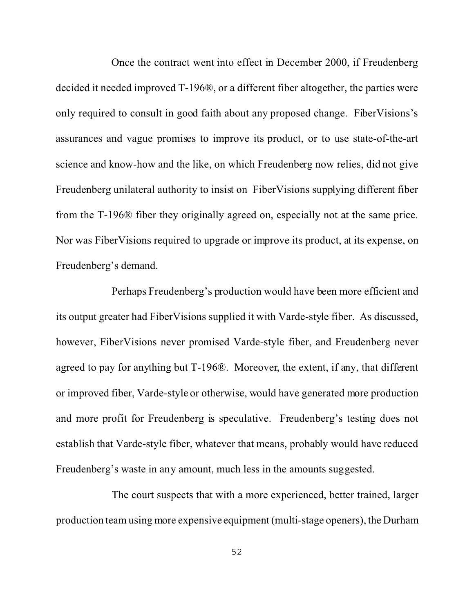Once the contract went into effect in December 2000, if Freudenberg decided it needed improved T-196®, or a different fiber altogether, the parties were only required to consult in good faith about any proposed change. FiberVisions's assurances and vague promises to improve its product, or to use state-of-the-art science and know-how and the like, on which Freudenberg now relies, did not give Freudenberg unilateral authority to insist on FiberVisions supplying different fiber from the T-196® fiber they originally agreed on, especially not at the same price. Nor was FiberVisions required to upgrade or improve its product, at its expense, on Freudenberg's demand.

Perhaps Freudenberg's production would have been more efficient and its output greater had FiberVisions supplied it with Varde-style fiber. As discussed, however, FiberVisions never promised Varde-style fiber, and Freudenberg never agreed to pay for anything but T-196®. Moreover, the extent, if any, that different or improved fiber, Varde-style or otherwise, would have generated more production and more profit for Freudenberg is speculative. Freudenberg's testing does not establish that Varde-style fiber, whatever that means, probably would have reduced Freudenberg's waste in any amount, much less in the amounts suggested.

The court suspects that with a more experienced, better trained, larger production team using more expensive equipment (multi-stage openers), the Durham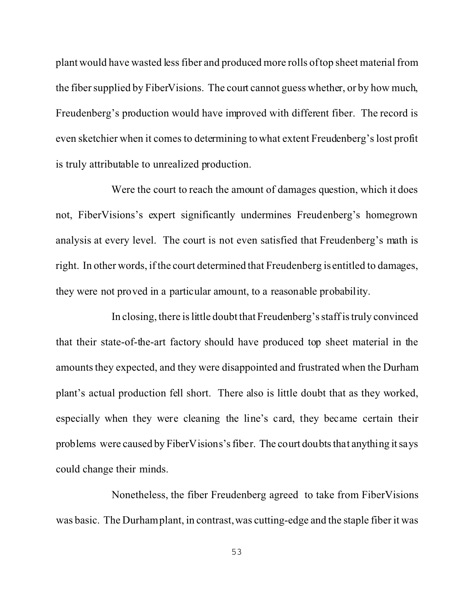plant would have wasted less fiber and produced more rolls of top sheet material from the fiber supplied by FiberVisions. The court cannot guess whether, or by how much, Freudenberg's production would have improved with different fiber. The record is even sketchier when it comes to determining to what extent Freudenberg's lost profit is truly attributable to unrealized production.

Were the court to reach the amount of damages question, which it does not, FiberVisions's expert significantly undermines Freudenberg's homegrown analysis at every level. The court is not even satisfied that Freudenberg's math is right. In other words, if the court determined that Freudenberg is entitled to damages, they were not proved in a particular amount, to a reasonable probability.

In closing, there is little doubt that Freudenberg's staff is truly convinced that their state-of-the-art factory should have produced top sheet material in the amounts they expected, and they were disappointed and frustrated when the Durham plant's actual production fell short. There also is little doubt that as they worked, especially when they were cleaning the line's card, they became certain their problems were caused by FiberVisions's fiber. The court doubts that anything it says could change their minds.

Nonetheless, the fiber Freudenberg agreed to take from FiberVisions was basic. The Durham plant, in contrast, was cutting-edge and the staple fiber it was